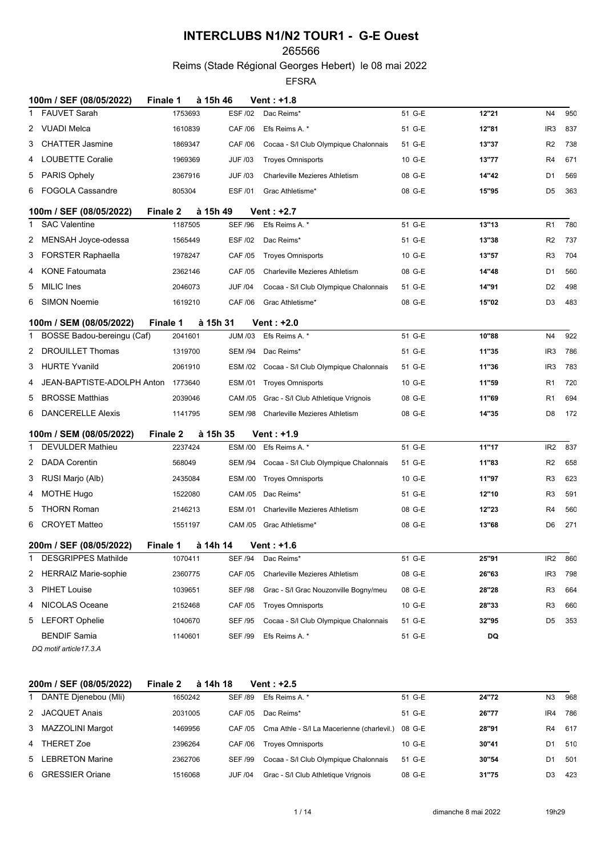### 265566

Reims (Stade Régional Georges Hebert) le 08 mai 2022

|   | 100m / SEF (08/05/2022)<br><b>Finale 1</b>                            |         | à 15h 46            | Vent: +1.8                                       |              |       |                 |     |
|---|-----------------------------------------------------------------------|---------|---------------------|--------------------------------------------------|--------------|-------|-----------------|-----|
|   | <b>FAUVET Sarah</b>                                                   | 1753693 | <b>ESF /02</b>      | Dac Reims*                                       | 51 G-E       | 12"21 | N4              | 950 |
| 2 | <b>VUADI Melca</b>                                                    | 1610839 | CAF /06             | Efs Reims A. *                                   | 51 G-E       | 12"81 | IR <sub>3</sub> | 837 |
| 3 | <b>CHATTER Jasmine</b>                                                | 1869347 | <b>CAF /06</b>      | Cocaa - S/I Club Olympique Chalonnais            | 51 G-E       | 13"37 | R <sub>2</sub>  | 738 |
| 4 | <b>LOUBETTE Coralie</b>                                               | 1969369 | <b>JUF /03</b>      | <b>Troyes Omnisports</b>                         | 10 G-E       | 13"77 | R4              | 671 |
| 5 | <b>PARIS Ophely</b>                                                   | 2367916 | <b>JUF /03</b>      | Charleville Mezieres Athletism                   | 08 G-E       | 14"42 | D1              | 569 |
| 6 | <b>FOGOLA Cassandre</b>                                               | 805304  | ESF /01             | Grac Athletisme*                                 | 08 G-E       | 15"95 | D5              | 363 |
|   | <b>Finale 2</b><br>100m / SEF (08/05/2022)                            |         | à 15h 49            | <b>Vent: +2.7</b>                                |              |       |                 |     |
| 1 | <b>SAC Valentine</b>                                                  | 1187505 | <b>SEF /96</b>      | Efs Reims A. *                                   | 51 G-E       | 13"13 | R1              | 780 |
| 2 | MENSAH Joyce-odessa                                                   | 1565449 | <b>ESF /02</b>      | Dac Reims*                                       | 51 G-E       | 13"38 | R <sub>2</sub>  | 737 |
| 3 | <b>FORSTER Raphaella</b>                                              | 1978247 | <b>CAF /05</b>      | <b>Troyes Omnisports</b>                         | 10 G-E       | 13"57 | R3              | 704 |
| 4 | <b>KONE Fatoumata</b>                                                 | 2362146 | <b>CAF /05</b>      | Charleville Mezieres Athletism                   | 08 G-E       | 14"48 | D1              | 560 |
| 5 | <b>MILIC</b> Ines                                                     | 2046073 | <b>JUF /04</b>      | Cocaa - S/I Club Olympique Chalonnais            | 51 G-E       | 14"91 | D <sub>2</sub>  | 498 |
| 6 | <b>SIMON Noemie</b>                                                   | 1619210 | CAF /06             | Grac Athletisme*                                 | 08 G-E       | 15"02 | D <sub>3</sub>  | 483 |
|   | Finale 1<br>100m / SEM (08/05/2022)                                   |         | à 15h 31            | Vent: +2.0                                       |              |       |                 |     |
| 1 | <b>BOSSE Badou-bereingu (Caf)</b>                                     | 2041601 | <b>JUM /03</b>      | Efs Reims A. *                                   | 51 G-E       | 10"88 | N4              | 922 |
| 2 | <b>DROUILLET Thomas</b>                                               | 1319700 | SEM /94             | Dac Reims*                                       | 51 G-E       | 11"35 | IR <sub>3</sub> | 786 |
| 3 | <b>HURTE Yvanild</b>                                                  | 2061910 |                     | ESM /02 Cocaa - S/I Club Olympique Chalonnais    | 51 G-E       | 11"36 | IR <sub>3</sub> | 783 |
| 4 | JEAN-BAPTISTE-ADOLPH Anton                                            | 1773640 |                     | ESM /01 Troyes Omnisports                        | 10 G-E       | 11"59 | R1              | 720 |
| 5 | <b>BROSSE Matthias</b>                                                | 2039046 | CAM /05             | Grac - S/I Club Athletique Vrignois              | 08 G-E       | 11"69 | R1              | 694 |
| 6 | <b>DANCERELLE Alexis</b>                                              | 1141795 | SEM /98             | Charleville Mezieres Athletism                   | 08 G-E       | 14"35 | D <sub>8</sub>  | 172 |
|   | 100m / SEM (08/05/2022)<br><b>Finale 2</b>                            |         | à 15h 35            | Vent: +1.9                                       |              |       |                 |     |
| 1 | <b>DEVULDER Mathieu</b>                                               | 2237424 | <b>ESM /00</b>      | Efs Reims A. *                                   | 51 G-E       | 11"17 | IR <sub>2</sub> | 837 |
| 2 | DADA Corentin                                                         | 568049  | <b>SEM /94</b>      | Cocaa - S/I Club Olympique Chalonnais            | 51 G-E       | 11"83 | R <sub>2</sub>  | 658 |
| 3 | RUSI Marjo (Alb)                                                      | 2435084 | <b>ESM /00</b>      | <b>Troyes Omnisports</b>                         | 10 G-E       | 11"97 | R <sub>3</sub>  | 623 |
| 4 | <b>MOTHE Hugo</b>                                                     | 1522080 | CAM /05             | Dac Reims*                                       | 51 G-E       | 12"10 | R3              | 591 |
| 5 | <b>THORN Roman</b>                                                    | 2146213 | ESM /01             | <b>Charleville Mezieres Athletism</b>            | 08 G-E       | 12"23 | R4              | 560 |
| 6 | <b>CROYET Matteo</b>                                                  | 1551197 |                     | CAM /05 Grac Athletisme*                         | 08 G-E       | 13"68 | D6              | 271 |
|   | 200m / SEF (08/05/2022)<br><b>Finale 1</b>                            |         | à 14h 14            | <b>Vent</b> : +1.6                               |              |       |                 |     |
| 1 | <b>DESGRIPPES Mathilde</b>                                            | 1070411 | <b>SEF /94</b>      | Dac Reims*                                       | 51 G-E       | 25"91 | IR <sub>2</sub> | 860 |
| 2 | <b>HERRAIZ Marie-sophie</b>                                           | 2360775 | <b>CAF /05</b>      | Charleville Mezieres Athletism                   | 08 G-E       | 26"63 | IR <sub>3</sub> | 798 |
|   | 3 PIHET Louise                                                        | 1039651 | <b>SEF /98</b>      | Grac - S/I Grac Nouzonville Bogny/meu            | 08 G-E       | 28"28 | R3              | 664 |
| 4 | NICOLAS Oceane                                                        | 2152468 | <b>CAF /05</b>      | <b>Troyes Omnisports</b>                         | 10 G-E       | 28"33 | R3              | 660 |
| 5 | LEFORT Ophelie                                                        | 1040670 | <b>SEF /95</b>      | Cocaa - S/I Club Olympique Chalonnais            | 51 G-E       | 32"95 | D5              | 353 |
|   | <b>BENDIF Samia</b>                                                   | 1140601 | <b>SEF /99</b>      | Efs Reims A. *                                   | 51 G-E       | DQ    |                 |     |
|   | DQ motif article17.3.A                                                |         |                     |                                                  |              |       |                 |     |
|   |                                                                       |         |                     |                                                  |              |       |                 |     |
|   | <b>Finale 2</b><br>200m / SEF (08/05/2022)<br>1 DANITE Diopobou (MII) | ACE0242 | à 14h 18<br>OCC 100 | Vent : +2.5<br>$E_{\text{no}}$ Doime $\Lambda$ * | $E4$ $C$ $E$ | 24172 | <b>NIO</b>      | റഭാ |

| DANTE Djenebou (Mli) | 1650242 | <b>SEF /89</b> | Efs Reims A. *                             | 51 G-E | 24"72 | N <sub>3</sub> | 968 |
|----------------------|---------|----------------|--------------------------------------------|--------|-------|----------------|-----|
| 2 JACQUET Anais      | 2031005 | CAF /05        | Dac Reims*                                 | 51 G-E | 26"77 | IR4            | 786 |
| 3 MAZZOLINI Margot   | 1469956 | CAF /05        | Cma Athle - S/I La Macerienne (charlevil.) | 08 G-E | 28"91 | R <sub>4</sub> | 617 |
| 4 THERET Zoe         | 2396264 | CAF /06        | <b>Troyes Omnisports</b>                   | 10 G-E | 30"41 | D1             | 510 |
| 5 LEBRETON Marine    | 2362706 | <b>SEF /99</b> | Cocaa - S/I Club Olympique Chalonnais      | 51 G-E | 30"54 | D1             | 501 |
| 6 GRESSIER Oriane    | 1516068 | JUF /04        | Grac - S/I Club Athletique Vrignois        | 08 G-E | 31"75 | D3             | 423 |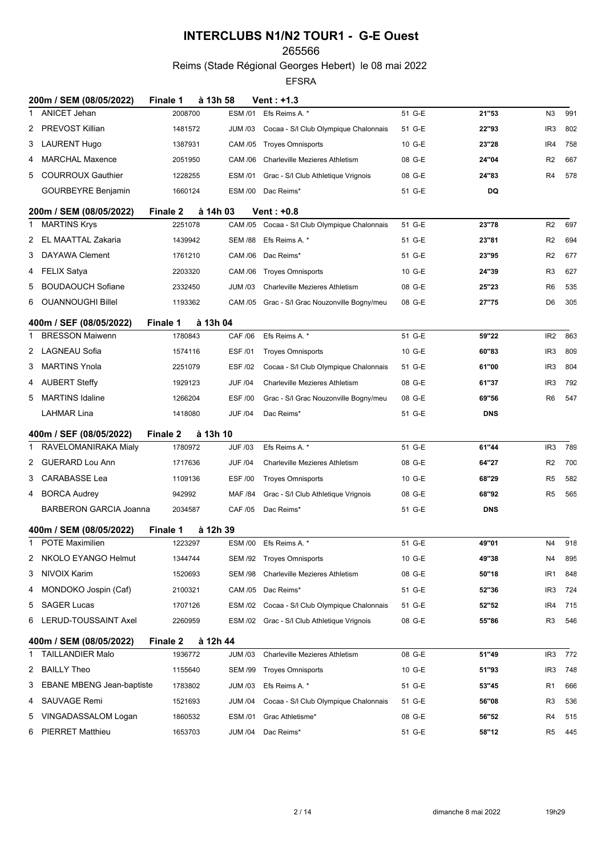### 265566

Reims (Stade Régional Georges Hebert) le 08 mai 2022

|    | 200m / SEM (08/05/2022)          | à 13h 58<br><b>Finale 1</b>     |                | <b>Vent: +1.3</b>                             |        |            |                 |     |
|----|----------------------------------|---------------------------------|----------------|-----------------------------------------------|--------|------------|-----------------|-----|
| 1. | <b>ANICET Jehan</b>              | 2008700                         | <b>ESM /01</b> | Efs Reims A. *                                | 51 G-E | 21"53      | N <sub>3</sub>  | 991 |
| 2  | PREVOST Killian                  | 1481572                         | <b>JUM /03</b> | Cocaa - S/I Club Olympique Chalonnais         | 51 G-E | 22"93      | IR <sub>3</sub> | 802 |
| 3  | LAURENT Hugo                     | 1387931                         | CAM /05        | <b>Troyes Omnisports</b>                      | 10 G-E | 23"28      | IR4             | 758 |
| 4  | <b>MARCHAL Maxence</b>           | 2051950                         | CAM /06        | Charleville Mezieres Athletism                | 08 G-E | 24"04      | R <sub>2</sub>  | 667 |
| 5  | <b>COURROUX Gauthier</b>         | 1228255                         | ESM /01        | Grac - S/I Club Athletique Vrignois           | 08 G-E | 24"83      | R4              | 578 |
|    | <b>GOURBEYRE Benjamin</b>        | 1660124                         |                | ESM /00 Dac Reims*                            | 51 G-E | DQ         |                 |     |
|    | 200m / SEM (08/05/2022)          | <b>Finale 2</b><br>à 14h 03     |                | <b>Vent: +0.8</b>                             |        |            |                 |     |
|    | 1 MARTINS Krys                   | 2251078                         | <b>CAM /05</b> | Cocaa - S/I Club Olympique Chalonnais         | 51 G-E | 23"78      | R <sub>2</sub>  | 697 |
| 2  | EL MAATTAL Zakaria               | 1439942                         | <b>SEM /88</b> | Efs Reims A. *                                | 51 G-E | 23"81      | R <sub>2</sub>  | 694 |
| 3  | DAYAWA Clement                   | 1761210                         | CAM /06        | Dac Reims*                                    | 51 G-E | 23"95      | R <sub>2</sub>  | 677 |
| 4  | FELIX Satya                      | 2203320                         | CAM /06        | <b>Troyes Omnisports</b>                      | 10 G-E | 24"39      | R3              | 627 |
| 5  | <b>BOUDAOUCH Sofiane</b>         | 2332450                         | <b>JUM /03</b> | Charleville Mezieres Athletism                | 08 G-E | 25"23      | R6              | 535 |
| 6  | <b>OUANNOUGHI Billel</b>         | 1193362                         |                | CAM /05 Grac - S/I Grac Nouzonville Bogny/meu | 08 G-E | 27"75      | D6              | 305 |
|    | 400m / SEF (08/05/2022)          | à 13h 04<br><b>Finale 1</b>     |                |                                               |        |            |                 |     |
| 1. | <b>BRESSON Maiwenn</b>           | 1780843                         | CAF /06        | Efs Reims A. *                                | 51 G-E | 59"22      | IR <sub>2</sub> | 863 |
| 2  | <b>LAGNEAU Sofia</b>             | 1574116                         | <b>ESF /01</b> | <b>Troyes Omnisports</b>                      | 10 G-E | 60"83      | IR <sub>3</sub> | 809 |
| 3  | MARTINS Ynola                    | 2251079                         | <b>ESF /02</b> | Cocaa - S/I Club Olympique Chalonnais         | 51 G-E | 61"00      | IR <sub>3</sub> | 804 |
| 4  | AUBERT Steffy                    | 1929123                         | <b>JUF /04</b> | Charleville Mezieres Athletism                | 08 G-E | 61"37      | IR <sub>3</sub> | 792 |
| 5  | <b>MARTINS Idaline</b>           | 1266204                         | <b>ESF /00</b> | Grac - S/I Grac Nouzonville Bogny/meu         | 08 G-E | 69"56      | R <sub>6</sub>  | 547 |
|    | LAHMAR Lina                      | 1418080                         | <b>JUF /04</b> | Dac Reims*                                    | 51 G-E | <b>DNS</b> |                 |     |
|    | 400m / SEF (08/05/2022)          | Finale <sub>2</sub><br>à 13h 10 |                |                                               |        |            |                 |     |
|    | RAVELOMANIRAKA Mialy             | 1780972                         | <b>JUF /03</b> | Efs Reims A. *                                | 51 G-E | 61"44      | IR <sub>3</sub> | 789 |
| 2  | <b>GUERARD Lou Ann</b>           | 1717636                         | <b>JUF /04</b> | Charleville Mezieres Athletism                | 08 G-E | 64"27      | R <sub>2</sub>  | 700 |
| 3  | <b>CARABASSE Lea</b>             | 1109136                         | <b>ESF /00</b> | <b>Troyes Omnisports</b>                      | 10 G-E | 68"29      | R <sub>5</sub>  | 582 |
| 4  | <b>BORCA Audrey</b>              | 942992                          | <b>MAF /84</b> | Grac - S/I Club Athletique Vrignois           | 08 G-E | 68"92      | R5              | 565 |
|    | <b>BARBERON GARCIA Joanna</b>    | 2034587                         | CAF /05        | Dac Reims*                                    | 51 G-E | <b>DNS</b> |                 |     |
|    | 400m / SEM (08/05/2022)          | à 12h 39<br><b>Finale 1</b>     |                |                                               |        |            |                 |     |
|    | 1 POTE Maximilien                | 1223297                         | ESM /00        | Efs Reims A. *                                | 51 G-E | 49"01      | N4              | 918 |
| 2  | NKOLO EYANGO Helmut              | 1344744                         |                | SEM /92 Troyes Omnisports                     | 10 G-E | 49"38      | N4              | 895 |
| 3  | NIVOIX Karim                     | 1520693                         | <b>SEM /98</b> | Charleville Mezieres Athletism                | 08 G-E | 50"18      | IR <sub>1</sub> | 848 |
| 4  | MONDOKO Jospin (Caf)             | 2100321                         |                | CAM /05 Dac Reims*                            | 51 G-E | 52"36      | IR <sub>3</sub> | 724 |
| 5  | <b>SAGER Lucas</b>               | 1707126                         |                | ESM /02 Cocaa - S/I Club Olympique Chalonnais | 51 G-E | 52"52      | IR4             | 715 |
| 6  | LERUD-TOUSSAINT Axel             | 2260959                         |                | ESM /02 Grac - S/I Club Athletique Vrignois   | 08 G-E | 55"86      | R3              | 546 |
|    | 400m / SEM (08/05/2022)          | Finale 2<br>à 12h 44            |                |                                               |        |            |                 |     |
| 1  | <b>TAILLANDIER Malo</b>          | 1936772                         | <b>JUM /03</b> | Charleville Mezieres Athletism                | 08 G-E | 51"49      | IR <sub>3</sub> | 772 |
| 2  | <b>BAILLY Theo</b>               | 1155640                         | <b>SEM /99</b> | <b>Troyes Omnisports</b>                      | 10 G-E | 51"93      | IR <sub>3</sub> | 748 |
| 3  | <b>EBANE MBENG Jean-baptiste</b> | 1783802                         | <b>JUM /03</b> | Efs Reims A. *                                | 51 G-E | 53"45      | R1              | 666 |
| 4  | <b>SAUVAGE Remi</b>              | 1521693                         | <b>JUM /04</b> | Cocaa - S/I Club Olympique Chalonnais         | 51 G-E | 56"08      | R3              | 536 |
| 5  | VINGADASSALOM Logan              | 1860532                         | <b>ESM /01</b> | Grac Athletisme*                              | 08 G-E | 56"52      | R4              | 515 |
| 6  | <b>PIERRET Matthieu</b>          | 1653703                         | <b>JUM /04</b> | Dac Reims*                                    | 51 G-E | 58"12      | R5              | 445 |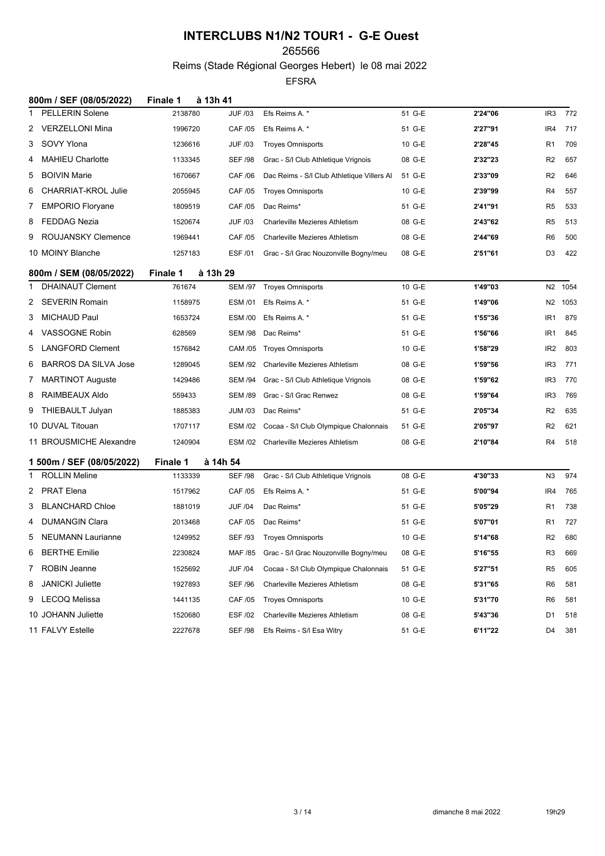## 265566

## Reims (Stade Régional Georges Hebert) le 08 mai 2022

| 800m / SEF (08/05/2022)          | à 13h 41<br><b>Finale 1</b> |                |                                            |        |         |                 |         |
|----------------------------------|-----------------------------|----------------|--------------------------------------------|--------|---------|-----------------|---------|
| <b>PELLERIN Solene</b>           | 2138780                     | <b>JUF /03</b> | Efs Reims A. *                             | 51 G-E | 2'24"06 | IR <sub>3</sub> | 772     |
| <b>VERZELLONI Mina</b><br>2      | 1996720                     | <b>CAF /05</b> | Efs Reims A. *                             | 51 G-E | 2'27"91 | IR4             | 717     |
| SOVY Ylona<br>3                  | 1236616                     | <b>JUF /03</b> | <b>Troyes Omnisports</b>                   | 10 G-E | 2'28"45 | R <sub>1</sub>  | 709     |
| <b>MAHIEU Charlotte</b><br>4     | 1133345                     | <b>SEF /98</b> | Grac - S/I Club Athletique Vrignois        | 08 G-E | 2'32"23 | R <sub>2</sub>  | 657     |
| <b>BOIVIN Marie</b><br>5         | 1670667                     | <b>CAF /06</b> | Dac Reims - S/I Club Athletique Villers Al | 51 G-E | 2'33"09 | R <sub>2</sub>  | 646     |
| <b>CHARRIAT-KROL Julie</b><br>6  | 2055945                     | <b>CAF /05</b> | <b>Troyes Omnisports</b>                   | 10 G-E | 2'39"99 | R4              | 557     |
| 7 EMPORIO Floryane               | 1809519                     | <b>CAF /05</b> | Dac Reims*                                 | 51 G-E | 2'41"91 | R <sub>5</sub>  | 533     |
| FEDDAG Nezia<br>8                | 1520674                     | <b>JUF /03</b> | Charleville Mezieres Athletism             | 08 G-E | 2'43"62 | R <sub>5</sub>  | 513     |
| 9 ROUJANSKY Clemence             | 1969441                     | <b>CAF /05</b> | Charleville Mezieres Athletism             | 08 G-E | 2'44"69 | R6              | 500     |
| 10 MOINY Blanche                 | 1257183                     | ESF /01        | Grac - S/I Grac Nouzonville Bogny/meu      | 08 G-E | 2'51"61 | D <sub>3</sub>  | 422     |
| 800m / SEM (08/05/2022)          | à 13h 29<br>Finale 1        |                |                                            |        |         |                 |         |
| <b>DHAINAUT Clement</b>          | 761674                      |                | SEM /97 Troyes Omnisports                  | 10 G-E | 1'49"03 |                 | N2 1054 |
| <b>SEVERIN Romain</b><br>2       | 1158975                     | <b>ESM /01</b> | Efs Reims A. *                             | 51 G-E | 1'49"06 | N2              | 1053    |
| MICHAUD Paul<br>3.               | 1653724                     | <b>ESM /00</b> | Efs Reims A. *                             | 51 G-E | 1'55"36 | IR1             | 879     |
| VASSOGNE Robin<br>4              | 628569                      | <b>SEM /98</b> | Dac Reims*                                 | 51 G-E | 1'56"66 | IR <sub>1</sub> | 845     |
| <b>LANGFORD Clement</b><br>5     | 1576842                     | CAM /05        | <b>Troyes Omnisports</b>                   | 10 G-E | 1'58"29 | IR <sub>2</sub> | 803     |
| <b>BARROS DA SILVA Jose</b><br>6 | 1289045                     | <b>SEM /92</b> | Charleville Mezieres Athletism             | 08 G-E | 1'59"56 | IR <sub>3</sub> | 771     |
| <b>MARTINOT Auguste</b><br>7     | 1429486                     | <b>SEM /94</b> | Grac - S/I Club Athletique Vrignois        | 08 G-E | 1'59"62 | IR <sub>3</sub> | 770     |
| RAIMBEAUX Aldo<br>8              | 559433                      | <b>SEM /89</b> | Grac - S/I Grac Renwez                     | 08 G-E | 1'59"64 | IR <sub>3</sub> | 769     |
| THIEBAULT Julyan<br>9            | 1885383                     | <b>JUM /03</b> | Dac Reims*                                 | 51 G-E | 2'05"34 | R <sub>2</sub>  | 635     |
| 10 DUVAL Titouan                 | 1707117                     | ESM /02        | Cocaa - S/I Club Olympique Chalonnais      | 51 G-E | 2'05"97 | R <sub>2</sub>  | 621     |
| 11 BROUSMICHE Alexandre          | 1240904                     |                | ESM /02 Charleville Mezieres Athletism     | 08 G-E | 2'10"84 | R4              | 518     |
| 1 500m / SEF (08/05/2022)        | Finale 1                    | à 14h 54       |                                            |        |         |                 |         |
| 1 ROLLIN Meline                  | 1133339                     | <b>SEF /98</b> | Grac - S/I Club Athletique Vrignois        | 08 G-E | 4'30"33 | N <sub>3</sub>  | 974     |
| PRAT Elena<br>2                  | 1517962                     | <b>CAF /05</b> | Efs Reims A. *                             | 51 G-E | 5'00"94 | IR4             | 765     |
| <b>BLANCHARD Chloe</b><br>3.     | 1881019                     | <b>JUF /04</b> | Dac Reims*                                 | 51 G-E | 5'05"29 | R1              | 738     |
| <b>DUMANGIN Clara</b><br>4       | 2013468                     | <b>CAF /05</b> | Dac Reims*                                 | 51 G-E | 5'07"01 | R <sub>1</sub>  | 727     |
| NEUMANN Laurianne<br>5           | 1249952                     | <b>SEF /93</b> | <b>Troyes Omnisports</b>                   | 10 G-E | 5'14"68 | R <sub>2</sub>  | 680     |
| <b>BERTHE Emilie</b><br>6        | 2230824                     | MAF /85        | Grac - S/I Grac Nouzonville Bogny/meu      | 08 G-E | 5'16"55 | R <sub>3</sub>  | 669     |
| <b>ROBIN Jeanne</b><br>7         | 1525692                     | <b>JUF /04</b> | Cocaa - S/I Club Olympique Chalonnais      | 51 G-E | 5'27"51 | R5              | 605     |
| <b>JANICKI Juliette</b><br>8     | 1927893                     | <b>SEF /96</b> | Charleville Mezieres Athletism             | 08 G-E | 5'31"65 | R6              | 581     |
| <b>LECOQ Melissa</b><br>9        | 1441135                     | CAF /05        | <b>Troyes Omnisports</b>                   | 10 G-E | 5'31"70 | R6              | 581     |
| 10 JOHANN Juliette               | 1520680                     | ESF /02        | Charleville Mezieres Athletism             | 08 G-E | 5'43"36 | D1              | 518     |
| 11 FALVY Estelle                 | 2227678                     | <b>SEF /98</b> | Efs Reims - S/I Esa Witry                  | 51 G-E | 6'11"22 | D4              | 381     |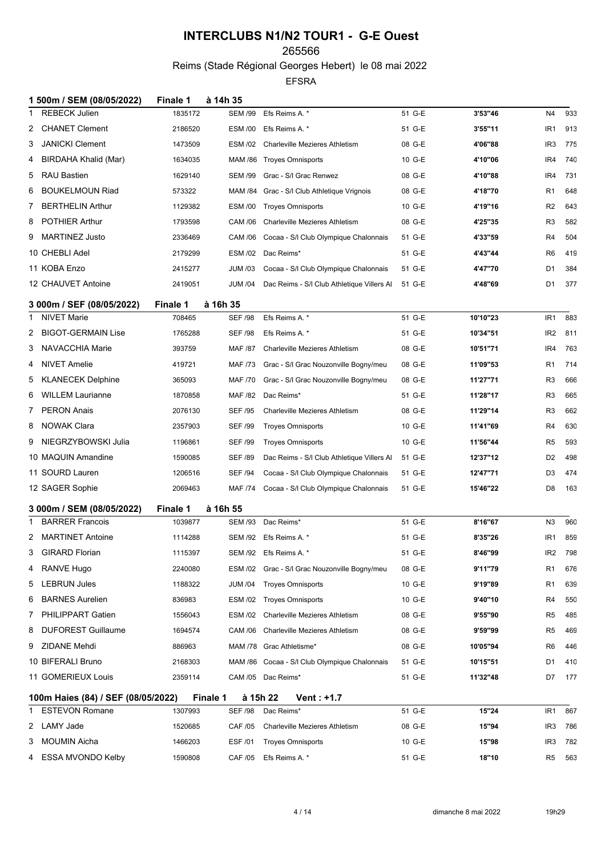### 265566

## Reims (Stade Régional Georges Hebert) le 08 mai 2022

|    | 1 500m / SEM (08/05/2022)          | Finale 1        | à 14h 35       |                                               |        |          |                 |     |
|----|------------------------------------|-----------------|----------------|-----------------------------------------------|--------|----------|-----------------|-----|
| 1. | <b>REBECK Julien</b>               | 1835172         | <b>SEM /99</b> | Efs Reims A. *                                | 51 G-E | 3'53"46  | N4              | 933 |
| 2  | <b>CHANET Clement</b>              | 2186520         | <b>ESM /00</b> | Efs Reims A. *                                | 51 G-E | 3'55"11  | IR1             | 913 |
| 3  | <b>JANICKI Clement</b>             | 1473509         | ESM /02        | <b>Charleville Mezieres Athletism</b>         | 08 G-E | 4'06"88  | IR3             | 775 |
| 4  | BIRDAHA Khalid (Mar)               | 1634035         |                | MAM /86 Troyes Omnisports                     | 10 G-E | 4'10"06  | IR4             | 740 |
| 5  | RAU Bastien                        | 1629140         | <b>SEM /99</b> | Grac - S/I Grac Renwez                        | 08 G-E | 4'10"88  | IR4             | 731 |
| 6  | <b>BOUKELMOUN Riad</b>             | 573322          | MAM /84        | Grac - S/I Club Athletique Vrignois           | 08 G-E | 4'18"70  | R1              | 648 |
| 7  | <b>BERTHELIN Arthur</b>            | 1129382         | <b>ESM /00</b> | <b>Troyes Omnisports</b>                      | 10 G-E | 4'19"16  | R <sub>2</sub>  | 643 |
| 8  | <b>POTHIER Arthur</b>              | 1793598         | CAM /06        | Charleville Mezieres Athletism                | 08 G-E | 4'25"35  | R3              | 582 |
| 9  | MARTINEZ Justo                     | 2336469         | CAM /06        | Cocaa - S/I Club Olympique Chalonnais         | 51 G-E | 4'33"59  | R4              | 504 |
|    | 10 CHEBLI Adel                     | 2179299         | ESM /02        | Dac Reims*                                    | 51 G-E | 4'43"44  | R <sub>6</sub>  | 419 |
|    | 11 KOBA Enzo                       | 2415277         | <b>JUM /03</b> | Cocaa - S/I Club Olympique Chalonnais         | 51 G-E | 4'47"70  | D1              | 384 |
|    | 12 CHAUVET Antoine                 | 2419051         | <b>JUM /04</b> | Dac Reims - S/I Club Athletique Villers Al    | 51 G-E | 4'48"69  | D1              | 377 |
|    | 3 000m / SEF (08/05/2022)          | <b>Finale 1</b> | à 16h 35       |                                               |        |          |                 |     |
| 1  | <b>NIVET Marie</b>                 | 708465          | <b>SEF /98</b> | Efs Reims A. *                                | 51 G-E | 10'10"23 | IR <sub>1</sub> | 883 |
| 2  | <b>BIGOT-GERMAIN Lise</b>          | 1765288         | <b>SEF /98</b> | Efs Reims A. *                                | 51 G-E | 10'34"51 | IR <sub>2</sub> | 811 |
| 3  | NAVACCHIA Marie                    | 393759          | <b>MAF /87</b> | Charleville Mezieres Athletism                | 08 G-E | 10'51"71 | IR4             | 763 |
| 4  | <b>NIVET Amelie</b>                | 419721          | MAF /73        | Grac - S/I Grac Nouzonville Bogny/meu         | 08 G-E | 11'09"53 | R <sub>1</sub>  | 714 |
| 5  | <b>KLANECEK Delphine</b>           | 365093          | <b>MAF /70</b> | Grac - S/I Grac Nouzonville Bogny/meu         | 08 G-E | 11'27"71 | R3              | 666 |
| 6  | <b>WILLEM Laurianne</b>            | 1870858         | MAF /82        | Dac Reims*                                    | 51 G-E | 11'28"17 | R3              | 665 |
| 7  | <b>PERON Anais</b>                 | 2076130         | <b>SEF /95</b> | Charleville Mezieres Athletism                | 08 G-E | 11'29"14 | R <sub>3</sub>  | 662 |
| 8  | NOWAK Clara                        | 2357903         | <b>SEF /99</b> | <b>Troyes Omnisports</b>                      | 10 G-E | 11'41"69 | R4              | 630 |
| 9  | NIEGRZYBOWSKI Julia                | 1196861         | <b>SEF /99</b> | <b>Troyes Omnisports</b>                      | 10 G-E | 11'56"44 | R5              | 593 |
|    | 10 MAQUIN Amandine                 | 1590085         | <b>SEF /89</b> | Dac Reims - S/I Club Athletique Villers Al    | 51 G-E | 12'37"12 | D <sub>2</sub>  | 498 |
|    | 11 SOURD Lauren                    | 1206516         | <b>SEF /94</b> | Cocaa - S/I Club Olympique Chalonnais         | 51 G-E | 12'47"71 | D <sub>3</sub>  | 474 |
|    | 12 SAGER Sophie                    | 2069463         | MAF /74        | Cocaa - S/I Club Olympique Chalonnais         | 51 G-E | 15'46"22 | D <sub>8</sub>  | 163 |
|    | 3 000m / SEM (08/05/2022)          | Finale 1        | à 16h 55       |                                               |        |          |                 |     |
| 1. | <b>BARRER Francois</b>             | 1039877         | <b>SEM /93</b> | Dac Reims*                                    | 51 G-E | 8'16"67  | N <sub>3</sub>  | 960 |
|    | 2 MARTINET Antoine                 | 1114288         |                | SEM /92 Efs Reims A. *                        | 51 G-E | 8'35"26  | IR1             | 859 |
| 3  | <b>GIRARD Florian</b>              | 1115397         |                | SEM /92 Efs Reims A. *                        | 51 G-E | 8'46"99  | IR <sub>2</sub> | 798 |
| 4  | RANVE Hugo                         | 2240080         | ESM /02        | Grac - S/I Grac Nouzonville Bogny/meu         | 08 G-E | 9'11"79  | R1              | 676 |
| 5  | <b>LEBRUN Jules</b>                | 1188322         | <b>JUM /04</b> | <b>Troyes Omnisports</b>                      | 10 G-E | 9'19"89  | R1              | 639 |
| 6  | <b>BARNES Aurelien</b>             | 836983          |                | ESM /02 Troyes Omnisports                     | 10 G-E | 9'40"10  | R4              | 550 |
| 7. | <b>PHILIPPART Gatien</b>           | 1556043         | ESM /02        | <b>Charleville Mezieres Athletism</b>         | 08 G-E | 9'55"90  | R5              | 485 |
| 8  | <b>DUFOREST Guillaume</b>          | 1694574         | CAM /06        | Charleville Mezieres Athletism                | 08 G-E | 9'59"99  | R5              | 469 |
| 9  | ZIDANE Mehdi                       | 886963          |                | MAM /78 Grac Athletisme*                      | 08 G-E | 10'05"94 | R6              | 446 |
|    | 10 BIFERALI Bruno                  | 2168303         |                | MAM /86 Cocaa - S/I Club Olympique Chalonnais | 51 G-E | 10'15"51 | D1              | 410 |
|    | 11 GOMERIEUX Louis                 | 2359114         |                | CAM /05 Dac Reims*                            | 51 G-E | 11'32"48 | D7              | 177 |
|    | 100m Haies (84) / SEF (08/05/2022) | <b>Finale 1</b> |                | à 15h 22<br>Vent : +1.7                       |        |          |                 |     |
|    | 1 ESTEVON Romane                   | 1307993         | <b>SEF /98</b> | Dac Reims*                                    | 51 G-E | 15"24    | IR <sub>1</sub> | 867 |
| 2  | LAMY Jade                          | 1520685         | CAF /05        | Charleville Mezieres Athletism                | 08 G-E | 15"94    | IR <sub>3</sub> | 786 |
| 3  | MOUMIN Aicha                       | 1466203         | ESF /01        | <b>Troyes Omnisports</b>                      | 10 G-E | 15"98    | IR <sub>3</sub> | 782 |
| 4  | ESSA MVONDO Kelby                  | 1590808         | CAF /05        | Efs Reims A. *                                | 51 G-E | 18"10    | R5              | 563 |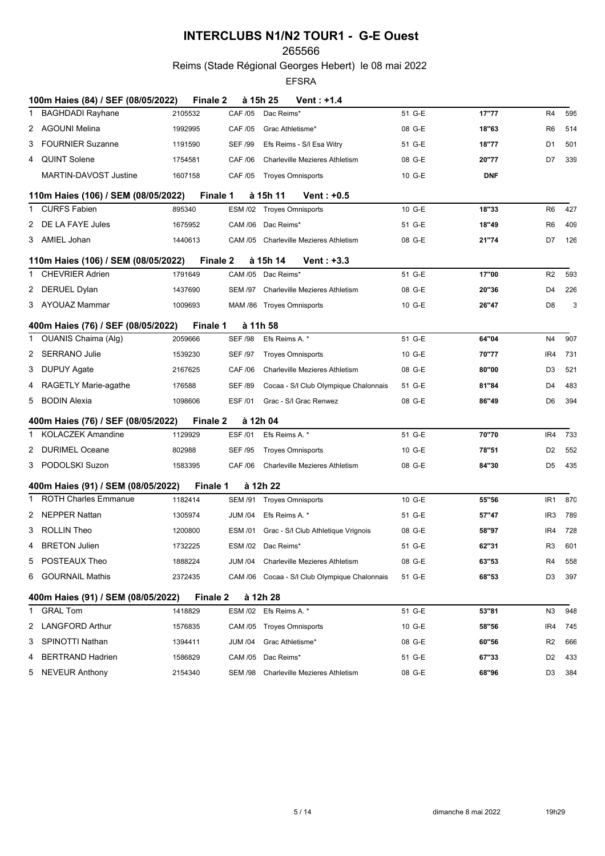### 265566

Reims (Stade Régional Georges Hebert) le 08 mai 2022

|    | 100m Haies (84) / SEF (08/05/2022)  | <b>Finale 2</b> |                 | à 15h 25<br>Vent : +1.4                       |        |            |                 |     |
|----|-------------------------------------|-----------------|-----------------|-----------------------------------------------|--------|------------|-----------------|-----|
| 1  | <b>BAGHDADI Rayhane</b>             | 2105532         | CAF /05         | Dac Reims*                                    | 51 G-E | 17"77      | R4              | 595 |
| 2  | AGOUNI Melina                       | 1992995         | CAF /05         | Grac Athletisme*                              | 08 G-E | 18"63      | R6              | 514 |
| 3  | <b>FOURNIER Suzanne</b>             | 1191590         | <b>SEF /99</b>  | Efs Reims - S/I Esa Witry                     | 51 G-E | 18"77      | D1              | 501 |
| 4  | <b>QUINT Solene</b>                 | 1754581         | <b>CAF /06</b>  | Charleville Mezieres Athletism                | 08 G-E | 20"77      | D7              | 339 |
|    | MARTIN-DAVOST Justine               | 1607158         | <b>CAF /05</b>  | <b>Troyes Omnisports</b>                      | 10 G-E | <b>DNF</b> |                 |     |
|    | 110m Haies (106) / SEM (08/05/2022) |                 | Finale 1        | à 15h 11<br><b>Vent: +0.5</b>                 |        |            |                 |     |
|    | CURFS Fabien                        | 895340          |                 | ESM /02 Troyes Omnisports                     | 10 G-E | 18"33      | R <sub>6</sub>  | 427 |
|    | 2 DE LA FAYE Jules                  | 1675952         |                 | CAM /06 Dac Reims*                            | 51 G-E | 18"49      | R <sub>6</sub>  | 409 |
|    | 3 AMIEL Johan                       | 1440613         |                 | CAM /05 Charleville Mezieres Athletism        | 08 G-E | 21"74      | D7              | 126 |
|    | 110m Haies (106) / SEM (08/05/2022) |                 | <b>Finale 2</b> | à 15h 14<br>Vent : +3.3                       |        |            |                 |     |
| 1  | <b>CHEVRIER Adrien</b>              | 1791649         |                 | CAM /05 Dac Reims*                            | 51 G-E | 17"00      | R <sub>2</sub>  | 593 |
|    | 2 DERUEL Dylan                      | 1437690         |                 | SEM /97 Charleville Mezieres Athletism        | 08 G-E | 20"36      | D4              | 226 |
|    | 3 AYOUAZ Mammar                     | 1009693         |                 | MAM /86 Troyes Omnisports                     | 10 G-E | 26"47      | D <sub>8</sub>  | 3   |
|    | 400m Haies (76) / SEF (08/05/2022)  | <b>Finale 1</b> |                 | à 11h 58                                      |        |            |                 |     |
|    | 1 OUANIS Chaima (Alg)               | 2059666         | <b>SEF /98</b>  | Efs Reims A. *                                | 51 G-E | 64"04      | N4              | 907 |
|    | 2 SERRANO Julie                     | 1539230         | <b>SEF /97</b>  | <b>Troyes Omnisports</b>                      | 10 G-E | 70"77      | IR4             | 731 |
| 3. | DUPUY Agate                         | 2167625         | CAF /06         | Charleville Mezieres Athletism                | 08 G-E | 80"00      | D <sub>3</sub>  | 521 |
| 4  | RAGETLY Marie-agathe                | 176588          | <b>SEF /89</b>  | Cocaa - S/I Club Olympique Chalonnais         | 51 G-E | 81"84      | D4              | 483 |
|    | 5 BODIN Alexia                      | 1098606         | ESF /01         | Grac - S/I Grac Renwez                        | 08 G-E | 86"49      | D6              | 394 |
|    | 400m Haies (76) / SEF (08/05/2022)  | <b>Finale 2</b> |                 | à 12h 04                                      |        |            |                 |     |
| 1  | <b>KOLACZEK Amandine</b>            | 1129929         | <b>ESF /01</b>  | Efs Reims A. *                                | 51 G-E | 70"70      | IR4             | 733 |
|    | 2 DURIMEL Oceane                    | 802988          | <b>SEF /95</b>  | <b>Troyes Omnisports</b>                      | 10 G-E | 78"51      | D <sub>2</sub>  | 552 |
|    | 3 PODOLSKI Suzon                    | 1583395         | CAF /06         | <b>Charleville Mezieres Athletism</b>         | 08 G-E | 84"30      | D <sub>5</sub>  | 435 |
|    | 400m Haies (91) / SEM (08/05/2022)  | Finale 1        |                 | à 12h 22                                      |        |            |                 |     |
| 1  | <b>ROTH Charles Emmanue</b>         | 1182414         |                 | SEM /91 Troyes Omnisports                     | 10 G-E | 55"56      | IR <sub>1</sub> | 870 |
| 2  | NEPPER Nattan                       | 1305974         | <b>JUM /04</b>  | Efs Reims A. *                                | 51 G-E | 57"47      | IR <sub>3</sub> | 789 |
| 3  | <b>ROLLIN Theo</b>                  | 1200800         |                 | ESM /01 Grac - S/I Club Athletique Vrignois   | 08 G-E | 58"97      | IR <sub>4</sub> | 728 |
| 4  | <b>BRETON Julien</b>                | 1732225         |                 | ESM /02 Dac Reims*                            | 51 G-E | 62"31      | R3              | 601 |
| 5  | POSTEAUX Theo                       | 1888224         | JUM /04         | Charleville Mezieres Athletism                | 08 G-E | 63"53      | R4              | 558 |
|    | 6 GOURNAIL Mathis                   | 2372435         |                 | CAM /06 Cocaa - S/I Club Olympique Chalonnais | 51 G-E | 68"53      | D3              | 397 |
|    | 400m Haies (91) / SEM (08/05/2022)  | <b>Finale 2</b> |                 | à 12h 28                                      |        |            |                 |     |
|    | 1 GRAL Tom                          | 1418829         |                 | ESM /02 Efs Reims A. *                        | 51 G-E | 53"81      | N <sub>3</sub>  | 948 |
| 2  | <b>LANGFORD Arthur</b>              | 1576835         |                 | CAM /05 Troyes Omnisports                     | 10 G-E | 58"56      | IR4             | 745 |
| 3. | SPINOTTI Nathan                     | 1394411         | <b>JUM /04</b>  | Grac Athletisme*                              | 08 G-E | 60"56      | R <sub>2</sub>  | 666 |
| 4  | BERTRAND Hadrien                    | 1586829         |                 | CAM /05 Dac Reims*                            | 51 G-E | 67"33      | D <sub>2</sub>  | 433 |
| 5  | <b>NEVEUR Anthony</b>               | 2154340         |                 | SEM /98 Charleville Mezieres Athletism        | 08 G-E | 68"96      | D3              | 384 |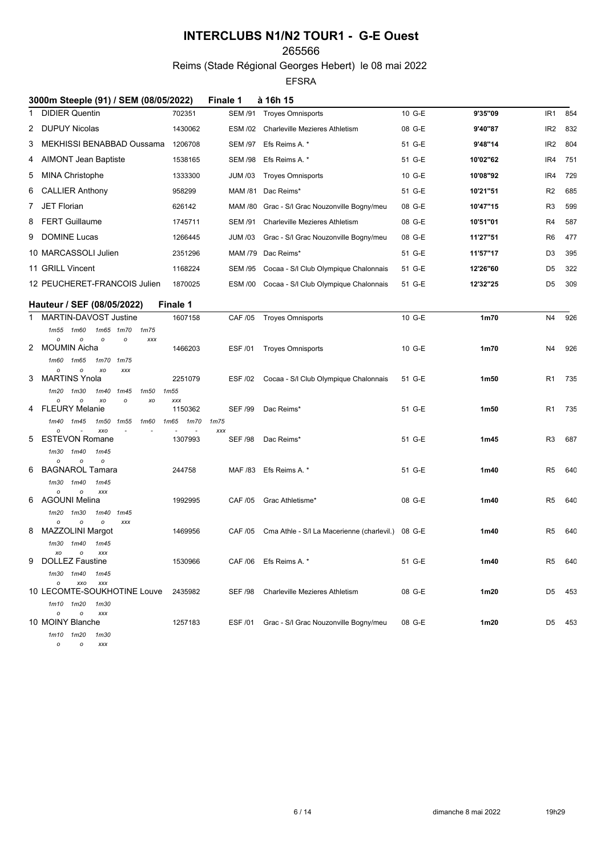## 265566

Reims (Stade Régional Georges Hebert) le 08 mai 2022

|   | 3000m Steeple (91) / SEM (08/05/2022)                   |                           | <b>Finale 1</b>       | à 16h 15                                          |        |          |                 |     |
|---|---------------------------------------------------------|---------------------------|-----------------------|---------------------------------------------------|--------|----------|-----------------|-----|
| 1 | <b>DIDIER Quentin</b>                                   | 702351                    |                       | SEM /91 Troyes Omnisports                         | 10 G-E | 9'35"09  | IR1             | 854 |
| 2 | DUPUY Nicolas                                           | 1430062                   |                       | ESM /02 Charleville Mezieres Athletism            | 08 G-E | 9'40"87  | IR <sub>2</sub> | 832 |
| 3 | MEKHISSI BENABBAD Oussama                               | 1206708                   | SEM /97               | Efs Reims A. *                                    | 51 G-E | 9'48"14  | IR <sub>2</sub> | 804 |
| 4 | <b>AIMONT Jean Baptiste</b>                             | 1538165                   | <b>SEM /98</b>        | Efs Reims A. *                                    | 51 G-E | 10'02"62 | IR4             | 751 |
| 5 | MINA Christophe                                         | 1333300                   | JUM /03               | <b>Troyes Omnisports</b>                          | 10 G-E | 10'08"92 | IR4             | 729 |
| 6 | <b>CALLIER Anthony</b>                                  | 958299                    |                       | MAM /81 Dac Reims*                                | 51 G-E | 10'21"51 | R2              | 685 |
| 7 | <b>JET Florian</b>                                      | 626142                    |                       | MAM /80 Grac - S/I Grac Nouzonville Bogny/meu     | 08 G-E | 10'47"15 | R3              | 599 |
| 8 | <b>FERT Guillaume</b>                                   | 1745711                   | SEM /91               | Charleville Mezieres Athletism                    | 08 G-E | 10'51"01 | R4              | 587 |
| 9 | <b>DOMINE Lucas</b>                                     | 1266445                   | <b>JUM /03</b>        | Grac - S/I Grac Nouzonville Bogny/meu             | 08 G-E | 11'27"51 | R <sub>6</sub>  | 477 |
|   | 10 MARCASSOLI Julien                                    | 2351296                   | MAM /79               | Dac Reims*                                        | 51 G-E | 11'57"17 | D3              | 395 |
|   | 11 GRILL Vincent                                        | 1168224                   | SEM /95               | Cocaa - S/I Club Olympique Chalonnais             | 51 G-E | 12'26"60 | D5              | 322 |
|   | 12 PEUCHERET-FRANCOIS Julien                            | 1870025                   | ESM /00               | Cocaa - S/I Club Olympique Chalonnais             | 51 G-E | 12'32"25 | D5              | 309 |
|   | Hauteur / SEF (08/05/2022)                              | <b>Finale 1</b>           |                       |                                                   |        |          |                 |     |
| 1 | MARTIN-DAVOST Justine                                   | 1607158                   | <b>CAF /05</b>        | <b>Troyes Omnisports</b>                          | 10 G-E | 1m70     | N4              | 926 |
|   | 1m55 1m60<br>1m65 1m70<br>1m75                          |                           |                       |                                                   |        |          |                 |     |
|   | o<br>о<br>о<br>о<br>XXX<br>2 MOUMIN Aicha               | 1466203                   | ESF /01               | <b>Troyes Omnisports</b>                          | 10 G-E | 1m70     | N4              | 926 |
|   | 1m60 1m65<br>1m70<br>1 <sub>m</sub> 75                  |                           |                       |                                                   |        |          |                 |     |
| 3 | О<br>XO<br>о<br>XXX<br><b>MARTINS Ynola</b>             | 2251079                   | ESF /02               | Cocaa - S/I Club Olympique Chalonnais             | 51 G-E | 1m50     | R1              | 735 |
|   | 1m20 1m30<br>1m40<br>1m45<br>1m50                       | 1m55                      |                       |                                                   |        |          |                 |     |
| 4 | о<br>$\circ$<br>XO<br>XO<br>о<br><b>FLEURY Melanie</b>  | XXX<br>1150362            | <b>SEF /99</b>        | Dac Reims*                                        | 51 G-E | 1m50     | R1              | 735 |
|   | 1m45<br>1m55<br>1m60<br>1m40<br>1m50                    | 1m65<br>1m70              | 1m75                  |                                                   |        |          |                 |     |
| 5 | о<br>XXO<br><b>ESTEVON Romane</b>                       | $\overline{a}$<br>1307993 | XXX<br><b>SEF /98</b> | Dac Reims*                                        | 51 G-E | 1m45     | R3              | 687 |
|   | 1m30 1m40<br>1m45                                       |                           |                       |                                                   |        |          |                 |     |
| 6 | $\mathbf{o}$<br>о<br>о<br><b>BAGNAROL Tamara</b>        | 244758                    | MAF /83               | Efs Reims A. *                                    | 51 G-E | 1m40     | R <sub>5</sub>  | 640 |
|   | 1m30 1m40<br>1m45                                       |                           |                       |                                                   |        |          |                 |     |
| 6 | $\mathbf{o}$<br>о<br>XXX<br>AGOUNI Melina               | 1992995                   | <b>CAF /05</b>        | Grac Athletisme*                                  | 08 G-E | 1m40     | R <sub>5</sub>  | 640 |
|   | 1m20<br>1m30<br>1m40<br>1m45                            |                           |                       |                                                   |        |          |                 |     |
| 8 | о<br>о<br>o<br>XXX<br><b>MAZZOLINI Margot</b>           | 1469956                   | CAF /05               | Cma Athle - S/I La Macerienne (charlevil.) 08 G-E |        | 1m40     | R5              | 640 |
|   | 1m30 1m40<br>1m45                                       |                           |                       |                                                   |        |          |                 |     |
| 9 | $\mathcal O$<br>XXX<br>хo<br>DOLLEZ Faustine            | 1530966                   |                       | CAF /06 Efs Reims A. *                            | 51 G-E | 1m40     | R5              | 640 |
|   | 1m30 1m40<br>1m45                                       |                           |                       |                                                   |        |          |                 |     |
|   | XXO<br>XXX<br>$\circ$<br>10 LECOMTE-SOUKHOTINE Louve    | 2435982                   | <b>SEF /98</b>        | Charleville Mezieres Athletism                    | 08 G-E | 1m20     | D5              | 453 |
|   | 1m10 1m20<br>1m30                                       |                           |                       |                                                   |        |          |                 |     |
|   | $\mathsf{o}$<br>$\mathcal O$<br>XXX<br>10 MOINY Blanche | 1257183                   |                       | ESF /01 Grac - S/I Grac Nouzonville Bogny/meu     | 08 G-E | 1m20     | D5              | 453 |
|   | 1m10 1m20<br>1m30                                       |                           |                       |                                                   |        |          |                 |     |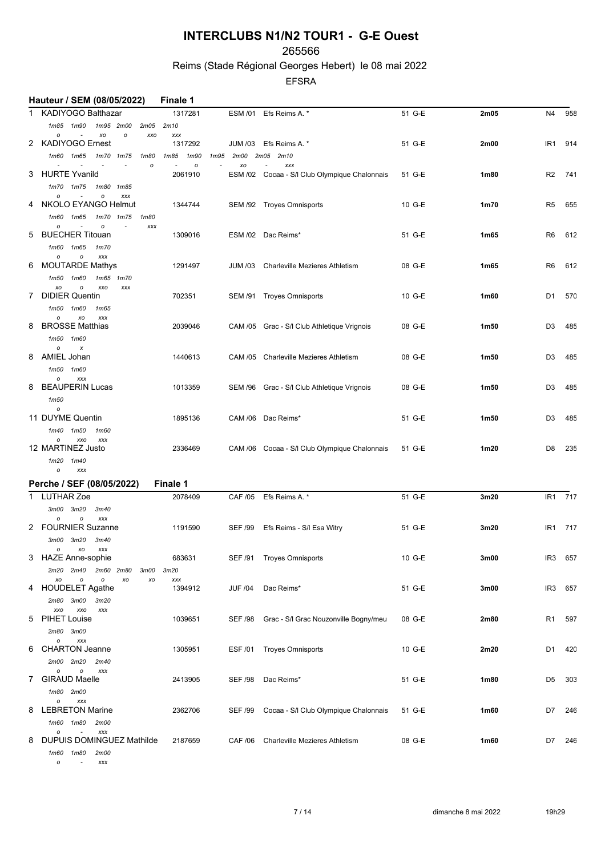265566

## Reims (Stade Régional Georges Hebert) le 08 mai 2022

EFSRA

|   | Hauteur / SEM (08/05/2022)                                           | <b>Finale 1</b>                              |                |                                                      |        |      |                 |     |
|---|----------------------------------------------------------------------|----------------------------------------------|----------------|------------------------------------------------------|--------|------|-----------------|-----|
| 1 | <b>KADIYOGO Balthazar</b>                                            | 1317281                                      |                | ESM /01 Efs Reims A. *                               | 51 G-E | 2m05 | N4              | 958 |
|   | 1m85 1m90<br>1m95<br>2m00<br>2m05                                    | 2m10                                         |                |                                                      |        |      |                 |     |
|   | 0<br>XO<br>о<br>XXO<br>2 KADIYOGO Ernest                             | XXX<br>1317292                               | JUM /03        | Efs Reims A. *                                       | 51 G-E | 2m00 | IR <sub>1</sub> | 914 |
|   | 1m65<br>1m70<br>1m75<br>1m80<br>1m60                                 | 1 <sub>m85</sub><br>1m90<br>1 <sub>m95</sub> | 2m00           | 2m05<br>2m10                                         |        |      |                 |     |
| 3 | $\mathsf{o}$<br><b>HURTE Yvanild</b>                                 | $\mathsf{o}$<br>2061910                      | хo             | XXX<br>ESM /02 Cocaa - S/I Club Olympique Chalonnais | 51 G-E | 1m80 | R <sub>2</sub>  | 741 |
|   | 1m80<br>1m85<br>1m70<br>1m75                                         |                                              |                |                                                      |        |      |                 |     |
| 4 | XXX<br>$\circ$<br>о<br>NKOLO EYANGO Helmut                           | 1344744                                      |                | SEM /92 Troyes Omnisports                            | 10 G-E | 1m70 | R5              | 655 |
|   | 1m65<br>1m70<br>1m75<br>1m80<br>1m60                                 |                                              |                |                                                      |        |      |                 |     |
|   | $\mathsf{o}\xspace$<br>$\circ$<br>XXX                                |                                              |                |                                                      |        |      |                 |     |
| 5 | <b>BUECHER Titouan</b><br>1m60<br>1m65<br>1m70                       | 1309016                                      |                | ESM /02 Dac Reims*                                   | 51 G-E | 1m65 | R6              | 612 |
|   | XXX<br>$\circ$<br>о                                                  |                                              |                |                                                      |        |      |                 |     |
| 6 | <b>MOUTARDE Mathys</b>                                               | 1291497                                      | JUM /03        | <b>Charleville Mezieres Athletism</b>                | 08 G-E | 1m65 | R6              | 612 |
|   | 1m50<br>1m60<br>1m65<br>1m70<br>XXO<br>ХO<br>о<br>XXX                |                                              |                |                                                      |        |      |                 |     |
| 7 | <b>DIDIER Quentin</b>                                                | 702351                                       |                | SEM /91 Troyes Omnisports                            | 10 G-E | 1m60 | D1              | 570 |
|   | 1 <sub>m50</sub><br>1m60<br>1 <sub>m65</sub><br>$\circ$<br>ХO<br>XXX |                                              |                |                                                      |        |      |                 |     |
| 8 | <b>BROSSE Matthias</b>                                               | 2039046                                      |                | CAM /05 Grac - S/I Club Athletique Vrignois          | 08 G-E | 1m50 | D <sub>3</sub>  | 485 |
|   | 1m50<br>1m60                                                         |                                              |                |                                                      |        |      |                 |     |
| 8 | о<br>x<br>AMIEL Johan                                                | 1440613                                      |                | CAM /05 Charleville Mezieres Athletism               | 08 G-E | 1m50 | D3              | 485 |
|   | 1m50<br>1m60                                                         |                                              |                |                                                      |        |      |                 |     |
| 8 | о<br>XXX<br><b>BEAUPERIN Lucas</b>                                   | 1013359                                      |                | SEM /96 Grac - S/I Club Athletique Vrignois          | 08 G-E | 1m50 | D <sub>3</sub>  | 485 |
|   | 1m50                                                                 |                                              |                |                                                      |        |      |                 |     |
|   | $\circ$                                                              |                                              |                |                                                      |        |      |                 |     |
|   | 11 DUYME Quentin<br>1m40<br>1m50<br>1m60                             | 1895136                                      |                | CAM /06 Dac Reims*                                   | 51 G-E | 1m50 | D3              | 485 |
|   | о<br>XXO<br>XXX                                                      |                                              |                |                                                      |        |      |                 |     |
|   | 12 MARTINEZ Justo                                                    | 2336469                                      |                | CAM /06 Cocaa - S/I Club Olympique Chalonnais        | 51 G-E | 1m20 | D <sub>8</sub>  | 235 |
|   | 1 <sub>m20</sub><br>1m40<br>о<br>XXX                                 |                                              |                |                                                      |        |      |                 |     |
|   | Perche / SEF (08/05/2022)                                            | <b>Finale 1</b>                              |                |                                                      |        |      |                 |     |
| 1 | LUTHAR Zoe                                                           | 2078409                                      |                | CAF /05 Efs Reims A. *                               | 51 G-E | 3m20 | IR <sub>1</sub> | 717 |
|   | 3m00<br>3m20<br>3m40                                                 |                                              |                |                                                      |        |      |                 |     |
| 2 | о<br>XXX<br>$\Omega$<br><b>FOURNIER Suzanne</b>                      | 1191590                                      | <b>SEF /99</b> | Efs Reims - S/I Esa Witry                            | 51 G-E | 3m20 | IR <sub>1</sub> | 717 |
|   | 3m00 3m20<br>3m40                                                    |                                              |                |                                                      |        |      |                 |     |
|   | $\circ$<br>xo<br>XXX<br>3 HAZE Anne-sophie                           | 683631                                       |                | SEF /91 Troyes Omnisports                            | 10 G-E | 3m00 | IR <sub>3</sub> | 657 |
|   | 2m20<br>2m40<br>2m60<br>2m80<br>3m00                                 | 3m20                                         |                |                                                      |        |      |                 |     |
|   | ХO<br>о<br>$\mathbf{o}$<br>XO<br>хo<br><b>HOUDELET Agathe</b>        | XXX                                          |                |                                                      |        |      |                 |     |
| 4 | 2m80<br>3m00<br>3m20                                                 | 1394912                                      | <b>JUF /04</b> | Dac Reims*                                           | 51 G-E | 3m00 | IR <sub>3</sub> | 657 |
|   | XXO<br>XXO<br>XXX                                                    |                                              |                |                                                      |        |      |                 |     |
| 5 | <b>PIHET Louise</b>                                                  | 1039651                                      | <b>SEF /98</b> | Grac - S/I Grac Nouzonville Bogny/meu                | 08 G-E | 2m80 | R <sub>1</sub>  | 597 |
|   | $3m$ 00<br>2m80<br>XXX<br>о                                          |                                              |                |                                                      |        |      |                 |     |
| 6 | <b>CHARTON Jeanne</b>                                                | 1305951                                      | ESF /01        | <b>Troyes Omnisports</b>                             | 10 G-E | 2m20 | D1              | 420 |
|   | 2m00 2m20<br>2m40<br>о<br>XXX<br>о                                   |                                              |                |                                                      |        |      |                 |     |
| 7 | GIRAUD Maelle                                                        | 2413905                                      | <b>SEF /98</b> | Dac Reims*                                           | 51 G-E | 1m80 | D5              | 303 |
|   | 2m00<br>1m80                                                         |                                              |                |                                                      |        |      |                 |     |
| 8 | о<br>XXX<br><b>LEBRETON Marine</b>                                   | 2362706                                      | <b>SEF /99</b> | Cocaa - S/I Club Olympique Chalonnais                | 51 G-E | 1m60 | D7              | 246 |
|   | 1m60 1m80<br>2m00                                                    |                                              |                |                                                      |        |      |                 |     |
| 8 | XXX<br>о<br>DUPUIS DOMINGUEZ Mathilde                                | 2187659                                      | CAF /06        | Charleville Mezieres Athletism                       | 08 G-E | 1m60 | D7              | 246 |
|   | 1m60 1m80 2m00                                                       |                                              |                |                                                      |        |      |                 |     |

*o - xxx*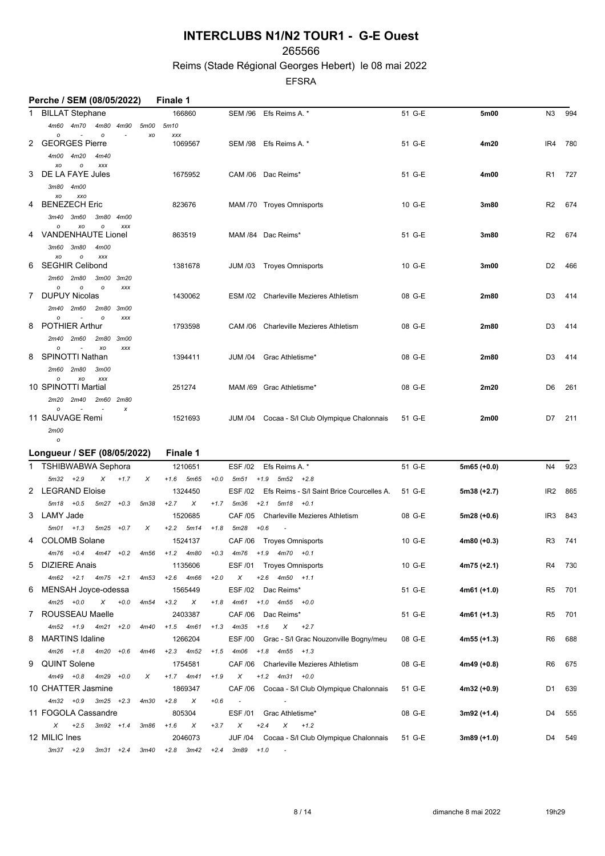### 265566

## Reims (Stade Régional Georges Hebert) le 08 mai 2022

EFSRA

|    | Perche / SEM (08/05/2022)                  |                     |                         |                          |            | Finale 1               |                |                                               |        |      |                |     |
|----|--------------------------------------------|---------------------|-------------------------|--------------------------|------------|------------------------|----------------|-----------------------------------------------|--------|------|----------------|-----|
|    | 1 BILLAT Stephane                          |                     |                         |                          |            | 166860                 |                | SEM /96 Efs Reims A. *                        | 51 G-E | 5m00 | N3             | 994 |
| 2  | 4m60<br><b>GEORGES Pierre</b>              | 4m70                | 4m80<br>0               | 4m90                     | 5m00<br>ХO | 5m10<br>XXX<br>1069567 | <b>SEM /98</b> | Efs Reims A. *                                | 51 G-E | 4m20 | IR4            | 780 |
| 3  | 4m00<br>XO<br>DE LA FAYE Jules             | 4m20<br>$\circ$     | 4m40<br><b>XXX</b>      |                          |            | 1675952                |                | CAM /06 Dac Reims*                            | 51 G-E | 4m00 | R <sub>1</sub> | 727 |
| 4  | 3m80<br>хo<br><b>BENEZECH Eric</b><br>3m40 | 4m00<br>XXO<br>3m60 | 3m80                    | 4m00                     |            | 823676                 |                | MAM /70 Troyes Omnisports                     | 10 G-E | 3m80 | R2             | 674 |
|    | 4 VANDENHAUTE Lionel<br>3m60               | хo<br>3m80          | о<br>4m00               | XXX                      |            | 863519                 |                | MAM /84 Dac Reims*                            | 51 G-E | 3m80 | R <sub>2</sub> | 674 |
| 6. | XO<br><b>SEGHIR Celibond</b><br>2m60       | $\circ$<br>2m80     | XXX<br>3m00             | 3m20                     |            | 1381678                |                | JUM /03 Troyes Omnisports                     | 10 G-E | 3m00 | D <sub>2</sub> | 466 |
| 7  | <b>DUPUY Nicolas</b><br>2m40               | $\circ$<br>2m60     | $\circ$<br>2m80         | XXX<br>3 <sub>m</sub> 00 |            | 1430062                |                | ESM /02 Charleville Mezieres Athletism        | 08 G-E | 2m80 | D <sub>3</sub> | 414 |
|    | 8 POTHIER Arthur<br>2m40                   | 2m60                | $\mathsf{o}$<br>2m80    | XXX<br>3 <sub>m</sub> 00 |            | 1793598                |                | CAM /06 Charleville Mezieres Athletism        | 08 G-E | 2m80 | D <sub>3</sub> | 414 |
| 8  | $\circ$<br>SPINOTTI Nathan<br>2m60         | 2m80                | хo<br>3 <sub>m</sub> 00 | XXX                      |            | 1394411                | <b>JUM /04</b> | Grac Athletisme*                              | 08 G-E | 2m80 | D <sub>3</sub> | 414 |
|    | $\circ$<br>10 SPINOTTI Martial<br>2m20     | XO<br>2m40          | XXX<br>2m60             | 2m80                     |            | 251274                 |                | MAM /69 Grac Athletisme*                      | 08 G-E | 2m20 | D <sub>6</sub> | 261 |
|    | 11 SAUVAGE Remi<br>2m00                    |                     |                         | x                        |            | 1521693                |                | JUM /04 Cocaa - S/l Club Olympique Chalonnais | 51 G-E | 2m00 | D7             | 211 |
|    | $\circ$                                    |                     |                         |                          |            |                        |                |                                               |        |      |                |     |

#### **Longueur / SEF (08/05/2022) Finale 1**

| 1 TSHIBWABWA Sephora  |           |                           |        |                  |          | 1210651                   |        | <b>ESF /02</b>                 |        | Efs Reims A. *     |                                               | 51 G-E | $5m65 (+0.0)$ | N4             | 923   |
|-----------------------|-----------|---------------------------|--------|------------------|----------|---------------------------|--------|--------------------------------|--------|--------------------|-----------------------------------------------|--------|---------------|----------------|-------|
| $5m32 +2.9$           |           | $\chi$                    | $+1.7$ | $\times$         | $+1.6$   | 5m65                      | $+0.0$ | 5m51                           |        | $+1.9$ 5m52 $+2.8$ |                                               |        |               |                |       |
| 2 LEGRAND Eloise      |           |                           |        |                  |          | 1324450                   |        | ESF /02                        |        |                    | Efs Reims - S/I Saint Brice Courcelles A.     | 51 G-E | $5m38 (+2.7)$ | IR2 865        |       |
| $5m18 + 0.5$          |           | $5m27 +0.3$               |        | 5m38             | $+2.7$ X |                           |        | $+1.7$ 5m36 $+2.1$ 5m18 $+0.1$ |        |                    |                                               |        |               |                |       |
| 3 LAMY Jade           |           |                           |        |                  |          | 1520685                   |        | <b>CAF /05</b>                 |        |                    | Charleville Mezieres Athletism                | 08 G-E | $5m28 (+0.6)$ | IR3 843        |       |
| $5m01 + 1.3$          |           | $5m25 +0.7$               |        | $\times$         |          | $+2.2$ 5m14               | $+1.8$ | 5m28                           | $+0.6$ |                    |                                               |        |               |                |       |
| 4 COLOMB Solane       |           |                           |        |                  |          | 1524137                   |        |                                |        |                    | CAF /06 Troyes Omnisports                     | 10 G-E | $4m80 (+0.3)$ | R3             | - 741 |
|                       |           | $4m76 + 0.4$ $4m47 + 0.2$ |        | 4m56             |          | $+1.2$ 4m80               | $+0.3$ | 4m76                           |        | $+1.9$ 4m70 +0.1   |                                               |        |               |                |       |
| 5 DIZIERE Anais       |           |                           |        |                  |          | 1135606                   |        |                                |        |                    | ESF /01 Troyes Omnisports                     | 10 G-E | 4m75 (+2.1)   | R4             | 730   |
|                       |           | $4m62 +2.1$ $4m75 +2.1$   |        | 4m53             |          | $+2.6$ 4m66               | $+2.0$ | $\times$                       |        | $+2.6$ 4m50 $+1.1$ |                                               |        |               |                |       |
| 6 MENSAH Joyce-odessa |           |                           |        |                  |          | 1565449                   |        | ESF /02 Dac Reims*             |        |                    |                                               | 51 G-E | $4m61 (+1.0)$ | R5 701         |       |
| $4m25 +0.0$           |           | $\chi$                    | $+0.0$ | 4m54             | $+3.2$   | $\boldsymbol{\mathsf{x}}$ | $+1.8$ | 4m61                           |        | $+1.0$ 4m55 $+0.0$ |                                               |        |               |                |       |
| 7 ROUSSEAU Maelle     |           |                           |        |                  |          | 2403387                   |        | CAF /06 Dac Reims*             |        |                    |                                               | 51 G-E | $4m61 (+1.3)$ | R <sub>5</sub> | 701   |
|                       |           | $4m52 + 1.9$ $4m21 + 2.0$ |        | 4m40             |          | $+1.5$ 4m61               | $+1.3$ | 4m35                           | $+1.6$ | $\times$           | $+2.7$                                        |        |               |                |       |
| 8 MARTINS Idaline     |           |                           |        |                  |          | 1266204                   |        |                                |        |                    | ESF /00 Grac - S/I Grac Nouzonville Bogny/meu | 08 G-E | 4m55 (+1.3)   | R <sub>6</sub> | 688   |
|                       |           | $4m26 + 1.8$ $4m20 + 0.6$ |        | 4m46             |          | $+2.3$ 4m52               | $+1.5$ | 4m06 +1.8 4m55 +1.3            |        |                    |                                               |        |               |                |       |
| 9 QUINT Solene        |           |                           |        |                  |          | 1754581                   |        | CAF /06                        |        |                    | Charleville Mezieres Athletism                | 08 G-E | 4m49 (+0.8)   | R6 675         |       |
|                       |           | $4m49 +0.8 +20.0$         |        | $\times$         |          | $+1.7$ 4m41               | $+1.9$ | $\chi$                         |        | $+1.2$ 4m31 +0.0   |                                               |        |               |                |       |
| 10 CHATTER Jasmine    |           |                           |        |                  |          | 1869347                   |        |                                |        |                    | CAF /06 Cocaa - S/I Club Olympique Chalonnais | 51 G-E | 4m32 (+0.9)   | D <sub>1</sub> | 639   |
| $4m32 +0.9$           |           | $3m25 + 2.3$              |        | 4 <sub>m30</sub> | $+2.8$   | $\boldsymbol{\mathsf{x}}$ | $+0.6$ |                                |        |                    |                                               |        |               |                |       |
| 11 FOGOLA Cassandre   |           |                           |        |                  |          | 805304                    |        | <b>ESF /01</b>                 |        | Grac Athletisme*   |                                               | 08 G-E | $3m92 (+1.4)$ | D4             | 555   |
| $\chi$                | $+2.5$    | $3m92 + 1.4$              |        | 3m86             | $+1.6$   | $\boldsymbol{\mathsf{x}}$ | $+3.7$ | $\times$                       | $+2.4$ | $\chi$             | $+1.2$                                        |        |               |                |       |
| 12 MILIC Ines         |           |                           |        |                  |          | 2046073                   |        |                                |        |                    | JUF /04 Cocaa - S/I Club Olympique Chalonnais | 51 G-E | $3m89 (+1.0)$ | D4             | 549   |
|                       | 3m37 +2.9 | 3m31 +2.4                 |        | 3m40             |          | +2.8 3m42                 |        | $+2.4$ 3m89 $+1.0$             |        |                    |                                               |        |               |                |       |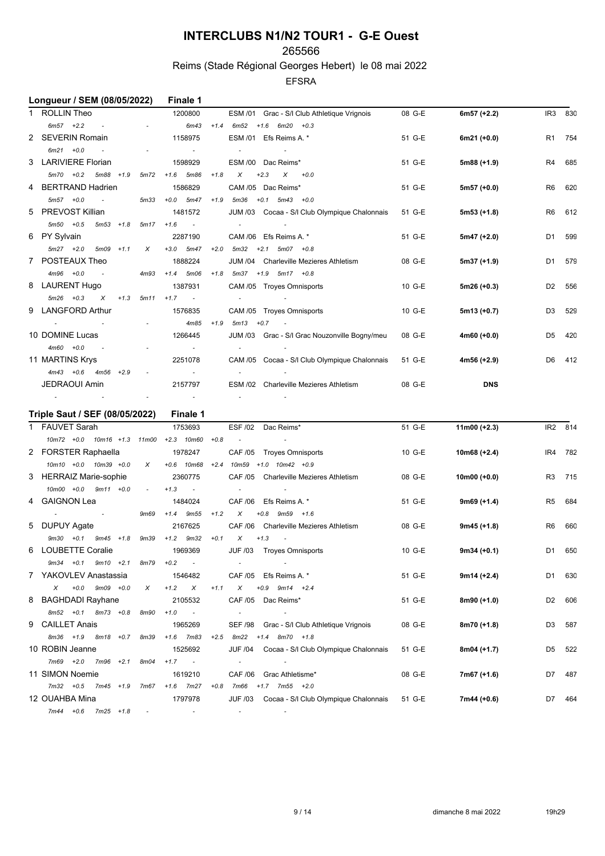#### 265566

## Reims (Stade Régional Georges Hebert) le 08 mai 2022

|   | ---- 100.00                                      |                          |                                      |        |                          |                                                 |        |               |                 |                    |
|---|--------------------------------------------------|--------------------------|--------------------------------------|--------|--------------------------|-------------------------------------------------|--------|---------------|-----------------|--------------------|
| 1 | <b>ROLLIN Theo</b>                               |                          | 1200800                              |        |                          | ESM /01 Grac - S/I Club Athletique Vrignois     | 08 G-E | $6m57 (+2.2)$ | IR <sub>3</sub> | 830                |
|   | $6m57 +2.2$                                      |                          | 6m43                                 |        |                          | $+1.4$ 6m52 $+1.6$ 6m20 $+0.3$                  |        |               |                 |                    |
|   | 2 SEVERIN Romain                                 |                          | 1158975                              |        |                          | ESM /01 Efs Reims A. *                          | 51 G-E | $6m21 (+0.0)$ | R1              | 754                |
|   | $6m21 +0.0$<br>$\blacksquare$                    |                          | $\overline{\phantom{a}}$             |        | $\sim$                   | $\overline{\phantom{a}}$                        |        |               |                 |                    |
|   | 3 LARIVIERE Florian                              |                          | 1598929                              |        |                          | ESM /00 Dac Reims*                              | 51 G-E | 5m88 (+1.9)   | R4              | 685                |
|   | $5m70 +0.2$<br>5m88 +1.9                         | 5m72                     | +1.6 5m86                            | $+1.8$ | X                        | $+2.3$<br>X<br>$+0.0$                           |        |               |                 |                    |
|   | BERTRAND Hadrien                                 |                          | 1586829                              |        |                          | CAM /05 Dac Reims*                              | 51 G-E | 5m57 (+0.0)   | R6              | 620                |
|   | $5m57 +0.0$<br>$\overline{\phantom{a}}$          | 5m33                     | $+0.0$<br>5m47                       | $+1.9$ |                          | 5m36 +0.1 5m43 +0.0                             |        |               |                 |                    |
|   | 5 PREVOST Killian                                |                          | 1481572                              |        |                          | JUM /03 Cocaa - S/I Club Olympique Chalonnais   | 51 G-E | 5m53 (+1.8)   | R6              | 612                |
|   | $5m50 + 0.5$<br>$5m53 + 1.8$                     | 5m17                     | $+1.6$<br>$\sim$ $-$                 |        | $\sim$                   | $\sim$                                          |        |               |                 |                    |
|   | 6 PY Sylvain                                     |                          | 2287190                              |        |                          | CAM /06 Efs Reims A. *                          | 51 G-E | 5m47 (+2.0)   | D1              | 599                |
|   | $5m27 +2.0$<br>$5m09 + 1.1$                      | X                        | $+3.0$ 5m47                          |        |                          | $+2.0$ 5m32 $+2.1$ 5m07 $+0.8$                  |        |               |                 |                    |
|   | 7 POSTEAUX Theo                                  |                          | 1888224                              |        |                          | JUM /04 Charleville Mezieres Athletism          | 08 G-E | 5m37 (+1.9)   | D1              | 579                |
|   | $4m96 +0.0$<br>$\sim$ $-$                        | 4m93                     | $+1.4$ 5m06                          |        |                          | $+1.8$ 5m37 $+1.9$ 5m17 $+0.8$                  |        |               |                 |                    |
|   | 8 LAURENT Hugo                                   |                          | 1387931                              |        |                          | CAM /05 Troyes Omnisports                       | 10 G-E | 5m26 (+0.3)   | D <sub>2</sub>  | 556                |
|   | $5m26 +0.3$<br>X<br>$+1.3$                       | 5m11                     | $+1.7$<br>$\sim$ $\sim$              |        | $\sim$                   | $\sim$ $-$                                      |        |               |                 |                    |
|   | 9 LANGFORD Arthur                                |                          | 1576835                              |        |                          | CAM /05 Troyes Omnisports                       | 10 G-E | 5m13 (+0.7)   | D3              | 529                |
|   |                                                  |                          | 4m85                                 |        | $+1.9$ 5m13 $+0.7$       | $\sim$ $-$                                      |        |               |                 |                    |
|   | 10 DOMINE Lucas                                  |                          | 1266445                              |        |                          | JUM /03 Grac - S/I Grac Nouzonville Bogny/meu   | 08 G-E | $4m60 (+0.0)$ | D5              | 420                |
|   | $4m60 + 0.0$<br>$\overline{\phantom{a}}$         |                          | $\sim$                               |        | $\sim$                   | $\sim$                                          |        |               |                 |                    |
|   | 11 MARTINS Krys                                  |                          | 2251078                              |        |                          | CAM /05 Cocaa - S/I Club Olympique Chalonnais   | 51 G-E | 4m56 (+2.9)   | D6              | 412                |
|   | 4m43 +0.6 4m56 +2.9                              |                          | $\sim$                               |        |                          | $\sim$                                          |        |               |                 |                    |
|   | <b>JEDRAOUI Amin</b>                             |                          | 2157797                              |        |                          | ESM /02 Charleville Mezieres Athletism          | 08 G-E | <b>DNS</b>    |                 |                    |
|   |                                                  |                          |                                      |        |                          | $\sim 100$                                      |        |               |                 |                    |
|   |                                                  |                          |                                      |        |                          |                                                 |        |               |                 |                    |
|   |                                                  |                          | <b>Finale 1</b>                      |        |                          |                                                 |        |               |                 |                    |
|   | Triple Saut / SEF (08/05/2022)<br>1 FAUVET Sarah |                          | 1753693                              |        |                          | ESF /02 Dac Reims*                              | 51 G-E |               | IR2 814         |                    |
|   | 10m72 +0.0 10m16 +1.3 11m00 +2.3 10m60           |                          |                                      | $+0.8$ |                          |                                                 |        | 11m00 (+2.3)  |                 |                    |
|   |                                                  |                          | 1978247                              |        |                          |                                                 | 10 G-E |               | IR4             | 782                |
|   | 2 FORSTER Raphaella<br>10m10 +0.0 10m39 +0.0     | X                        | $+0.6$ 10m68                         |        | CAF /05                  | Troyes Omnisports<br>+2.4 10m59 +1.0 10m42 +0.9 |        | 10m68 (+2.4)  |                 |                    |
|   |                                                  |                          | 2360775                              |        |                          | CAF /05 Charleville Mezieres Athletism          | 08 G-E |               | R3              | 715                |
|   | 3 HERRAIZ Marie-sophie<br>10m00 +0.0 9m11 +0.0   | $\overline{\phantom{a}}$ | $+1.3$<br>$\overline{\phantom{a}}$   |        |                          |                                                 |        | 10m00 (+0.0)  |                 |                    |
|   | GAIGNON Lea                                      |                          | 1484024                              |        | CAF /06                  | Efs Reims A. *                                  | 51 G-E |               | R5              |                    |
|   | $\sim$ $-$                                       | 9m69                     | $+1.4$ 9m55                          | $+1.2$ | X                        | $+0.8$ 9m59 $+1.6$                              |        | 9m69 (+1.4)   |                 | 684                |
|   |                                                  |                          | 2167625                              |        |                          | CAF /06 Charleville Mezieres Athletism          | 08 G-E |               | R6              | 660                |
|   | 5 DUPUY Agate<br>9m30 +0.1 9m45 +1.8             | 9m39                     | $+1.2$ 9m32                          | $+0.1$ | X                        | $+1.3$<br>$\overline{\phantom{a}}$              |        | 9m45 (+1.8)   |                 |                    |
|   | 6 LOUBETTE Coralie                               |                          | 1969369                              |        |                          | JUF /03 Troyes Omnisports                       | 10 G-E |               |                 | D1 650             |
|   | 9m34 +0.1 9m10 +2.1                              | 8m79                     | $+0.2$                               |        |                          |                                                 |        | $9m34 (+0.1)$ |                 |                    |
|   | 7 YAKOVLEV Anastassia                            |                          | 1546482                              |        |                          |                                                 | 51 G-E | 9m14 (+2.4)   |                 | D1 630             |
|   | $+0.0$ 9m09 $+0.0$<br>X                          | X                        | $+1.2$<br>$\times$                   | $+1.1$ | $\chi$                   | CAF /05 Efs Reims A. *<br>$+0.9$ 9m14 $+2.4$    |        |               |                 |                    |
| 8 |                                                  |                          |                                      |        |                          |                                                 |        |               |                 |                    |
|   | BAGHDADI Rayhane<br>8m52 +0.1 8m73 +0.8          | 8m90                     | 2105532<br>$+1.0$<br>$\sim 10^{-10}$ |        | $\overline{\phantom{a}}$ | CAF /05 Dac Reims*<br>$\overline{\phantom{a}}$  | 51 G-E | 8m90 (+1.0)   |                 | D <sub>2</sub> 606 |
|   | 9 CAILLET Anais                                  |                          | 1965269                              |        | SEF /98                  |                                                 | 08 G-E | 8m70 (+1.8)   | D3              |                    |
|   | 8m36 +1.9 8m18 +0.7                              | 8m39                     | $+1.6$ 7m83                          |        |                          | Grac - S/I Club Athletique Vrignois             |        |               |                 | 587                |
|   | 10 ROBIN Jeanne                                  |                          | 1525692                              |        |                          | +2.5 8m22 +1.4 8m70 +1.8                        | 51 G-E |               |                 |                    |
|   | 7m69 +2.0 7m96 +2.1                              | 8m04                     | $+1.7$<br>$\sim 100$                 |        | $\sim$                   | JUF /04 Cocaa - S/I Club Olympique Chalonnais   |        | 8m04 (+1.7)   |                 | D5 522             |
|   |                                                  |                          |                                      |        |                          | CAF /06 Grac Athletisme*                        |        |               |                 |                    |
|   | 11 SIMON Noemie<br>7m32 +0.5 7m45 +1.9           | 7m67                     | 1619210<br>$+1.6$ 7m27               |        |                          | +0.8 7m66 +1.7 7m55 +2.0                        | 08 G-E | 7m67 (+1.6)   | D7              | 487                |
|   | 12 OUAHBA Mina                                   |                          | 1797978                              |        |                          | JUF /03 Cocaa - S/I Club Olympique Chalonnais   | 51 G-E | 7m44 (+0.6)   |                 | D7 464             |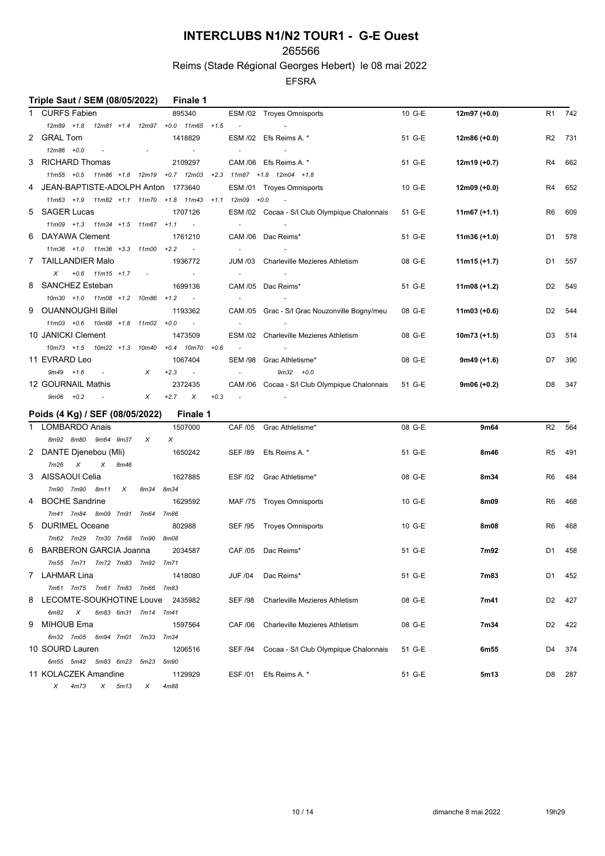## 265566

## Reims (Stade Régional Georges Hebert) le 08 mai 2022

#### EFSRA

|   | Triple Saut / SEM (08/05/2022)                           | <b>Finale 1</b>          |                         |                                               |        |                |    |                    |
|---|----------------------------------------------------------|--------------------------|-------------------------|-----------------------------------------------|--------|----------------|----|--------------------|
|   | 1 CURFS Fabien                                           | 895340                   |                         | ESM /02 Troyes Omnisports                     | 10 G-E | $12m97 (+0.0)$ |    | R1 742             |
|   | 12m89 +1.8 12m81 +1.4 12m97 +0.0 11m65 +1.5              |                          | $\sim$ $\sim$           |                                               |        |                |    |                    |
|   | 2 GRAL Tom                                               | 1418829                  |                         | ESM /02 Efs Reims A. *                        | 51 G-E | 12m86 (+0.0)   | R2 | 731                |
|   | $12m86 + 0.0$<br>$\omega$                                | $\sim$                   | $\sim$                  |                                               |        |                |    |                    |
|   | 3 RICHARD Thomas                                         | 2109297                  |                         | CAM /06 Efs Reims A. *                        | 51 G-E | 12m19 (+0.7)   | R4 | 662                |
|   | 11m55 +0.5 11m86 +1.8 12m19 +0.7 12m03                   |                          |                         | +2.3 11m87 +1.8 12m04 +1.8                    |        |                |    |                    |
| 4 | JEAN-BAPTISTE-ADOLPH Anton 1773640                       |                          |                         | ESM /01 Troyes Omnisports                     | 10 G-E | 12m09 (+0.0)   | R4 | 652                |
|   | 11m63 +1.9 11m82 +1.1 11m70 +1.8 11m43                   |                          | $+1.1$ 12m09 $+0.0$     | $\blacksquare$                                |        |                |    |                    |
|   | 5 SAGER Lucas                                            | 1707126                  |                         | ESM /02 Cocaa - S/I Club Olympique Chalonnais | 51 G-E | $11m67 (+1.1)$ | R6 | 609                |
|   | 11m09 +1.3 11m34 +1.5 11m67 +1.1                         | $\sim 100$               | $\sim$                  | $\sim$                                        |        |                |    |                    |
| 6 | DAYAWA Clement                                           | 1761210                  |                         | CAM /06 Dac Reims*                            | 51 G-E | 11m36 (+1.0)   | D1 | 578                |
|   | 11m36 +1.0 11m36 +3.3 11m00 +2.2                         | $\sim 100$ km s $^{-1}$  | $\sim$                  |                                               |        |                |    |                    |
|   | 7 TAILLANDIER Malo                                       | 1936772                  |                         | JUM /03 Charleville Mezieres Athletism        | 08 G-E | $11m15 (+1.7)$ | D1 | 557                |
|   | $+0.6$ 11m15 $+1.7$<br>$\boldsymbol{X}$<br>$\sim$        | $\sim 100$               | $\sim$                  | $\sim$                                        |        |                |    |                    |
|   | 8 SANCHEZ Esteban                                        | 1699136                  |                         | CAM /05 Dac Reims*                            | 51 G-E | 11m08 (+1.2)   | D2 | 549                |
|   | 10m30 +1.0 11m08 +1.2 10m86 +1.2                         | $\sim$ 100 $\pm$         | $\sim$                  | $\sim$                                        |        |                |    |                    |
|   | 9 OUANNOUGHI Billel                                      | 1193362                  |                         | CAM /05 Grac - S/I Grac Nouzonville Bogny/meu | 08 G-E | $11m03 (+0.6)$ | D2 | 544                |
|   | 11m03 +0.6 10m88 +1.8 11m02 +0.0                         | $\sim 100$               | $\sim$                  | $\sim$                                        |        |                |    |                    |
|   | 10 JANICKI Clement                                       | 1473509                  |                         | ESM /02 Charleville Mezieres Athletism        | 08 G-E | 10m73 (+1.5)   | D3 | 514                |
|   | 10m73 +1.5 10m22 +1.3 10m40 +0.4 10m70                   | $+0.6$                   | $\sim$                  | $\sim$                                        |        |                |    |                    |
|   | 11 EVRARD Leo                                            | 1067404                  |                         | SEM /98 Grac Athletisme*                      | 08 G-E | 9m49 (+1.6)    | D7 | 390                |
|   | $9m49 + 1.6$<br>X<br>$\sim$                              | $+2.3$<br>$\blacksquare$ | $\sim 100$ km s $^{-1}$ | $9m32 +0.0$                                   |        |                |    |                    |
|   | 12 GOURNAIL Mathis                                       | 2372435                  |                         | CAM /06 Cocaa - S/I Club Olympique Chalonnais | 51 G-E | $9m06 (+0.2)$  | D8 | 347                |
|   | $9m06 +0.2$<br>X                                         | $+2.7$<br>X<br>$+0.3$    | $\sim$ $-$              | $\sim 100$ km s $^{-1}$                       |        |                |    |                    |
|   |                                                          |                          |                         |                                               |        |                |    |                    |
|   | Poids (4 Kg) / SEF (08/05/2022)                          | <b>Finale 1</b>          |                         |                                               |        |                |    |                    |
|   | 1 LOMBARDO Anais                                         | 1507000                  |                         | CAF /05 Grac Athletisme*                      | 08 G-E | 9m64           |    | R <sub>2</sub> 564 |
|   | 8m92 8m80 9m64 9m37<br>X                                 | X                        |                         |                                               |        |                |    |                    |
|   | 2 DANTE Djenebou (Mli)                                   | 1650242                  | SEF /89                 | Efs Reims A. *                                | 51 G-E | 8m46           | R5 | 491                |
|   | 7m26<br>$\boldsymbol{X}$<br>$\boldsymbol{X}$<br>8m46     |                          |                         |                                               |        |                |    |                    |
|   | 3 AISSAOUI Celia                                         | 1627885                  |                         | ESF /02 Grac Athletisme*                      | 08 G-E | 8m34           | R6 | 484                |
|   | 7m90 7m90 8m11<br>X                                      | 8m34 8m34                |                         |                                               |        |                |    |                    |
| 4 | <b>BOCHE Sandrine</b>                                    | 1629592                  |                         | MAF /75 Troyes Omnisports                     | 10 G-E | 8m09           | R6 | 468                |
|   | 7m41 7m84 8m09 7m91                                      | 7m64 7m86                |                         |                                               |        |                |    |                    |
|   | 5 DURIMEL Oceane                                         | 802988                   |                         | SEF /95 Troyes Omnisports                     | 10 G-E | 8m08           | R6 | 468                |
|   | 7m62 7m29 7m30 7m68 7m90                                 | 8m08                     |                         |                                               |        |                |    |                    |
| 6 | <b>BARBERON GARCIA Joanna</b>                            | 2034587                  |                         | CAF /05 Dac Reims*                            | 51 G-E | 7m92           |    | D1 458             |
|   | 7m55 7m71 7m72 7m83 7m92 7m71                            |                          |                         |                                               |        |                |    |                    |
|   | 7 LAHMAR Lina                                            | 1418080                  | JUF /04                 | Dac Reims*                                    | 51 G-E | 7m83           | D1 | 452                |
|   | 7m61 7m75 7m61 7m83 7m66 7m83                            |                          |                         |                                               |        |                |    |                    |
|   | 8 LECOMTE-SOUKHOTINE Louve 2435982                       |                          | SEF /98                 | <b>Charleville Mezieres Athletism</b>         | 08 G-E | 7m41           | D2 | - 427              |
|   | 6m82<br>$\boldsymbol{\mathsf{x}}$<br>6m83 6m31 7m14 7m41 |                          |                         |                                               |        |                |    |                    |
| 9 | MIHOUB Ema                                               | 1597564                  | CAF /06                 | Charleville Mezieres Athletism                | 08 G-E | 7m34           | D2 | 422                |
|   | 6m32 7m05 6m94 7m01<br>7m33                              | 7m34                     |                         |                                               |        |                |    |                    |
|   | 10 SOURD Lauren                                          | 1206516                  |                         | SEF /94 Cocaa - S/I Club Olympique Chalonnais | 51 G-E | 6m55           | D4 | 374                |
|   | 6m55 5m42 5m83 6m23<br>5m23                              | 5m90                     |                         |                                               |        |                |    |                    |
|   | 11 KOLACZEK Amandine                                     | 1129929                  |                         | ESF /01 Efs Reims A. *                        | 51 G-E | 5m13           | D8 | 287                |

*X 4m73 X 5m13 X 4m88*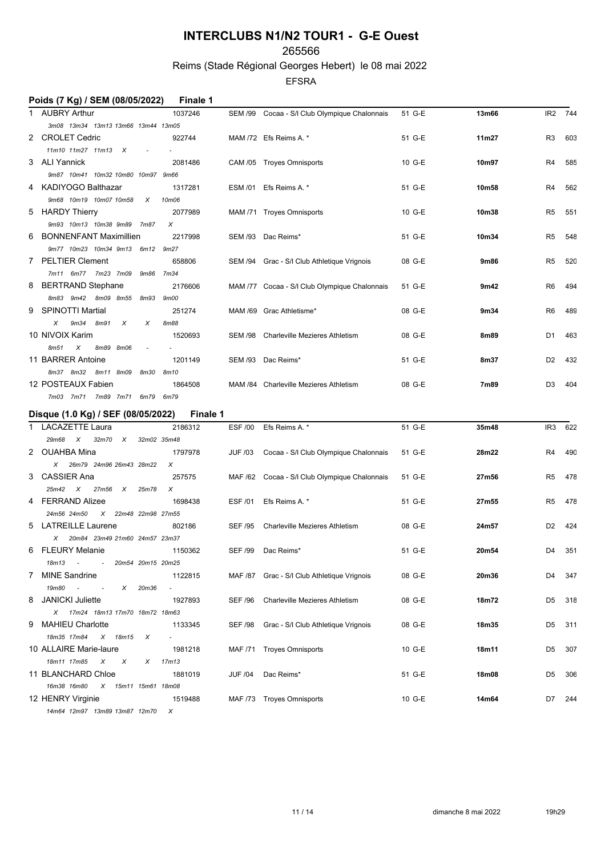#### 265566

## Reims (Stade Régional Georges Hebert) le 08 mai 2022

|   | Poids (7 Kg) / SEM (08/05/2022)                                                                        |       | Finale 1    |                |                                               |        |       |                 |         |
|---|--------------------------------------------------------------------------------------------------------|-------|-------------|----------------|-----------------------------------------------|--------|-------|-----------------|---------|
|   | 1 AUBRY Arthur                                                                                         |       | 1037246     |                | SEM /99 Cocaa - S/l Club Olympique Chalonnais | 51 G-E | 13m66 |                 | IR2 744 |
|   | 3m08 13m34 13m13 13m66 13m44 13m05                                                                     |       |             |                |                                               |        |       |                 |         |
|   | 2 CROLET Cedric                                                                                        |       | 922744      |                | MAM /72 Efs Reims A. *                        | 51 G-E | 11m27 | R3              | 603     |
|   | 11m10 11m27 11m13 X                                                                                    |       |             |                |                                               |        |       |                 |         |
|   | 3 ALI Yannick                                                                                          |       | 2081486     |                | CAM /05 Troyes Omnisports                     | 10 G-E | 10m97 | R4              | 585     |
|   | 9m87 10m41 10m32 10m80 10m97 9m66                                                                      |       |             |                |                                               |        |       |                 |         |
|   | KADIYOGO Balthazar                                                                                     |       | 1317281     |                | ESM /01 Efs Reims A. *                        | 51 G-E | 10m58 | R4              | 562     |
|   | 9m68 10m19 10m07 10m58                                                                                 | X     | 10m06       |                |                                               |        |       |                 |         |
|   | 5 HARDY Thierry                                                                                        |       | 2077989     |                | MAM /71 Troyes Omnisports                     | 10 G-E | 10m38 | R5              | 551     |
|   | 9m93 10m13 10m38 9m89 7m87                                                                             |       | X           |                |                                               |        |       |                 |         |
| 6 | <b>BONNENFANT Maximillien</b>                                                                          |       | 2217998     |                | SEM /93 Dac Reims*                            | 51 G-E | 10m34 | R5              | 548     |
|   | 9m77 10m23 10m34 9m13 6m12 9m27                                                                        |       |             |                |                                               |        |       |                 |         |
|   | 7 PELTIER Clement                                                                                      |       | 658806      |                | SEM /94 Grac - S/I Club Athletique Vrignois   | 08 G-E | 9m86  | R5              | 520     |
|   | 7m11 6m77 7m23 7m09                                                                                    | 9m86  | 7m34        |                |                                               |        |       |                 |         |
| 8 | BERTRAND Stephane                                                                                      |       | 2176606     |                | MAM /77 Cocaa - S/I Club Olympique Chalonnais | 51 G-E | 9m42  | R6              | 494     |
|   | 8m83 9m42 8m09 8m55                                                                                    | 8m93  | 9m00        |                |                                               |        |       |                 |         |
| 9 | <b>SPINOTTI Martial</b>                                                                                |       | 251274      |                | MAM /69 Grac Athletisme*                      | 08 G-E | 9m34  | R6              | 489     |
|   | 9m34<br>X<br>8m91<br>X                                                                                 | X     | <b>8m88</b> |                |                                               |        |       |                 |         |
|   | 10 NIVOIX Karim                                                                                        |       | 1520693     |                | SEM /98 Charleville Mezieres Athletism        | 08 G-E | 8m89  | D1              | 463     |
|   | X<br>8m51<br>8m89 8m06                                                                                 |       |             |                |                                               |        |       |                 |         |
|   | 11 BARRER Antoine                                                                                      |       | 1201149     |                | SEM /93 Dac Reims*                            | 51 G-E | 8m37  | D <sub>2</sub>  | 432     |
|   | 8m37 8m32 8m11 8m09                                                                                    | 8m30  | 8m10        |                |                                               |        |       |                 |         |
|   | 12 POSTEAUX Fabien                                                                                     |       | 1864508     |                | MAM /84 Charleville Mezieres Athletism        | 08 G-E | 7m89  | D <sub>3</sub>  | 404     |
|   | 7m03 7m71 7m89 7m71                                                                                    | 6m79  | 6m79        |                |                                               |        |       |                 |         |
|   | Disque (1.0 Kg) / SEF (08/05/2022)                                                                     |       | Finale 1    |                |                                               |        |       |                 |         |
|   | LACAZETTE Laura                                                                                        |       | 2186312     | <b>ESF /00</b> | Efs Reims A. *                                | 51 G-E | 35m48 | IR <sub>3</sub> | 622     |
|   | 29m68<br>$\boldsymbol{\mathsf{x}}$<br>32m70<br>$\boldsymbol{\mathsf{x}}$                               |       | 32m02 35m48 |                |                                               |        |       |                 |         |
| 2 | OUAHBA Mina                                                                                            |       | 1797978     | <b>JUF /03</b> | Cocaa - S/I Club Olympique Chalonnais         | 51 G-E | 28m22 | R4              | 490     |
|   | X 26m79 24m96 26m43 28m22                                                                              |       | X           |                |                                               |        |       |                 |         |
|   | 3 CASSIER Ana                                                                                          |       | 257575      |                | MAF /62 Cocaa - S/I Club Olympique Chalonnais | 51 G-E | 27m56 | R5              | 478     |
|   | 25m42 X<br>27m56 X                                                                                     | 25m78 | Χ           |                |                                               |        |       |                 |         |
|   | 4 FERRAND Alizee                                                                                       |       | 1698438     | ESF /01        | Efs Reims A. *                                | 51 G-E | 27m55 | R5              | 478     |
|   | 24m56 24m50<br>X 22m48 22m98 27m55                                                                     |       |             |                |                                               |        |       |                 |         |
| 5 | <b>LATREILLE Laurene</b>                                                                               |       | 802186      | <b>SEF /95</b> | <b>Charleville Mezieres Athletism</b>         | 08 G-E | 24m57 | D <sub>2</sub>  | 424     |
|   | 20m84 23m49 21m60 24m57 23m37<br>X.                                                                    |       |             |                |                                               |        |       |                 |         |
|   | 6 FLEURY Melanie                                                                                       |       | 1150362     |                | SEF /99 Dac Reims*                            | 51 G-E | 20m54 | D4              | 351     |
|   | 18m13<br>$\sim 100$<br>- 20m54 20m15 20m25                                                             |       |             |                |                                               |        |       |                 |         |
|   | 7 MINE Sandrine                                                                                        |       | 1122815     |                | MAF /87 Grac - S/l Club Athletique Vrignois   | 08 G-E | 20m36 | D4              | 347     |
|   | 19m80<br>$\mathcal{L}(\mathcal{A})$ and $\mathcal{L}(\mathcal{A})$ . Then<br>$\boldsymbol{\mathsf{x}}$ | 20m36 |             |                |                                               |        |       |                 |         |
| 8 | JANICKI Juliette                                                                                       |       | 1927893     |                | SEF /96 Charleville Mezieres Athletism        | 08 G-E | 18m72 | D5              | 318     |
|   | X 17m24 18m13 17m70 18m72 18m63                                                                        |       |             |                |                                               |        |       |                 |         |
|   | 9 MAHIEU Charlotte                                                                                     |       | 1133345     |                | SEF /98 Grac - S/I Club Athletique Vrignois   | 08 G-E | 18m35 | D5              | 311     |
|   | 18m35 17m84 X 18m15                                                                                    | X     |             |                |                                               |        |       |                 |         |
|   | 10 ALLAIRE Marie-laure                                                                                 |       | 1981218     |                | MAF /71 Troyes Omnisports                     | 10 G-E | 18m11 | D5              | 307     |
|   | $X$ X<br>18m11 17m85                                                                                   |       | $X = 17m13$ |                |                                               |        |       |                 |         |
|   | 11 BLANCHARD Chloe                                                                                     |       | 1881019     |                | JUF /04 Dac Reims*                            | 51 G-E | 18m08 | D5              | 306     |
|   |                                                                                                        |       |             |                |                                               |        |       |                 |         |
|   | 16m38 16m80<br>X 15m11 15m61 18m08                                                                     |       |             |                |                                               |        |       |                 |         |
|   | 12 HENRY Virginie                                                                                      |       | 1519488     |                | MAF /73 Troyes Omnisports                     | 10 G-E | 14m64 | D7              | 244     |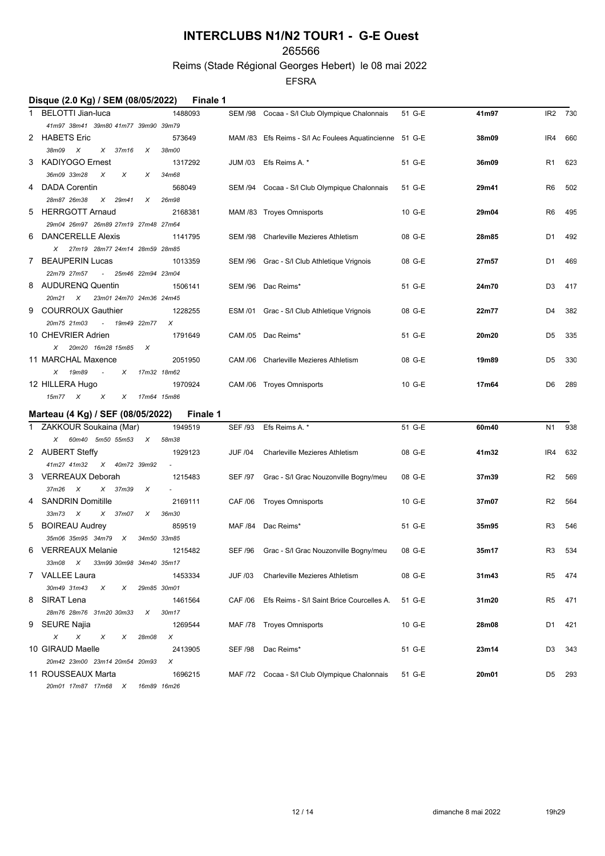### 265566

## Reims (Stade Régional Georges Hebert) le 08 mai 2022

EFSRA

|   | Disque (2.0 Kg) / SEM (08/05/2022)                       | <b>Finale 1</b> |                |                                                         |        |       |         |        |
|---|----------------------------------------------------------|-----------------|----------------|---------------------------------------------------------|--------|-------|---------|--------|
|   | 1 BELOTTI Jian-luca                                      | 1488093         |                | SEM /98 Cocaa - S/l Club Olympique Chalonnais           | 51 G-E | 41m97 | IR2 730 |        |
|   | 41m97 38m41 39m80 41m77 39m90 39m79                      |                 |                |                                                         |        |       |         |        |
|   | 2 HABETS Eric                                            | 573649          |                | MAM /83 Efs Reims - S/I Ac Foulees Aquatincienne 51 G-E |        | 38m09 | IR4     | 660    |
|   | 38m09<br>$\boldsymbol{\mathsf{x}}$<br>$X$ 37 $m16$<br>X  | 38m00           |                |                                                         |        |       |         |        |
| 3 | <b>KADIYOGO Ernest</b>                                   | 1317292         |                | JUM /03 Efs Reims A. *                                  | 51 G-E | 36m09 | R1      | 623    |
|   | 36m09 33m28<br>X<br>X<br>X                               | 34m68           |                |                                                         |        |       |         |        |
| 4 | <b>DADA Corentin</b>                                     | 568049          |                | SEM /94 Cocaa - S/I Club Olympique Chalonnais           | 51 G-E | 29m41 | R6      | 502    |
|   | 28m87 26m38<br>$X$ 29 $m41$<br>X                         | 26m98           |                |                                                         |        |       |         |        |
| 5 | <b>HERRGOTT Arnaud</b>                                   | 2168381         |                | MAM /83 Troyes Omnisports                               | 10 G-E | 29m04 | R6      | 495    |
|   | 29m04 26m97 26m89 27m19 27m48 27m64                      |                 |                |                                                         |        |       |         |        |
| 6 | <b>DANCERELLE Alexis</b>                                 | 1141795         |                | SEM /98 Charleville Mezieres Athletism                  | 08 G-E | 28m85 | D1      | 492    |
|   | X 27m19 28m77 24m14 28m59 28m85                          |                 |                |                                                         |        |       |         |        |
|   | 7 BEAUPERIN Lucas                                        | 1013359         |                | SEM /96 Grac - S/I Club Athletique Vrignois             | 08 G-E | 27m57 | D1      | 469    |
|   | 22m79 27m57<br>- 25m46 22m94 23m04                       |                 |                |                                                         |        |       |         |        |
| 8 | AUDURENQ Quentin                                         | 1506141         |                | SEM /96 Dac Reims*                                      | 51 G-E | 24m70 | D3      | 417    |
|   | $20m21$ $X$<br>23m01 24m70 24m36 24m45                   |                 |                |                                                         |        |       |         |        |
| 9 | <b>COURROUX Gauthier</b>                                 | 1228255         |                | ESM /01 Grac - S/I Club Athletique Vrignois             | 08 G-E | 22m77 | D4      | 382    |
|   | 20m75 21m03<br>- 19m49 22m77                             | X               |                |                                                         |        |       |         |        |
|   | 10 CHEVRIER Adrien                                       | 1791649         |                | CAM /05 Dac Reims*                                      | 51 G-E | 20m20 | D5      | 335    |
|   | X 20m20 16m28 15m85<br>X                                 |                 |                |                                                         |        |       |         |        |
|   | 11 MARCHAL Maxence                                       | 2051950         |                | CAM /06 Charleville Mezieres Athletism                  | 08 G-E | 19m89 | D5      | 330    |
|   | $X = 19m89$<br>$\sim$ $\sim$<br>X                        | 17m32 18m62     |                |                                                         |        |       |         |        |
|   | 12 HILLERA Hugo                                          | 1970924         |                | CAM /06 Troyes Omnisports                               | 10 G-E | 17m64 | D6      | 289    |
|   | 15m77 X<br>$\boldsymbol{\mathsf{x}}$<br>X 17m64 15m86    |                 |                |                                                         |        |       |         |        |
|   |                                                          |                 |                |                                                         |        |       |         |        |
|   | Marteau (4 Kg) / SEF (08/05/2022)                        | Finale 1        |                |                                                         |        |       |         |        |
|   | 1 ZAKKOUR Soukaina (Mar)                                 | 1949519         | <b>SEF /93</b> | Efs Reims A. *                                          | 51 G-E | 60m40 | N1      | 938    |
|   | X 60m40 5m50 55m53<br>$\boldsymbol{\mathsf{x}}$          | 58m38           |                |                                                         |        |       |         |        |
|   | 2 AUBERT Steffy                                          | 1929123         | <b>JUF /04</b> | Charleville Mezieres Athletism                          | 08 G-E | 41m32 | IR4     | 632    |
|   | 41m27 41m32<br>X 40m72 39m92                             |                 |                |                                                         |        |       |         |        |
|   | 3 VERREAUX Deborah                                       | 1215483         | SEF /97        | Grac - S/I Grac Nouzonville Bogny/meu                   | 08 G-E | 37m39 | R2      | 569    |
|   | 37m26<br>$\boldsymbol{\mathsf{x}}$<br>X<br>$X$ 37 $m39$  |                 |                |                                                         |        |       |         |        |
| 4 | <b>SANDRIN Domitille</b>                                 | 2169111         | CAF /06        | Troyes Omnisports                                       | 10 G-E | 37m07 | R2      | 564    |
|   | 33m73<br>$\boldsymbol{\mathsf{X}}$<br>$X$ 37 $m$ 07<br>X | 36m30           |                |                                                         |        |       |         |        |
|   | 5 BOIREAU Audrey                                         | 859519          |                | MAF /84 Dac Reims*                                      | 51 G-E | 35m95 | R3      | 546    |
|   | 35m06 35m95 34m79 X                                      | 34m50 33m85     |                |                                                         |        |       |         |        |
|   | 6 VERREAUX Melanie                                       | 1215482         |                | SEF /96 Grac - S/I Grac Nouzonville Bogny/meu           | 08 G-E | 35m17 | R3      | 534    |
|   | $33m08$ X<br>33m99 30m98 34m40 35m17                     |                 |                |                                                         |        |       |         |        |
|   | 7 VALLEE Laura                                           | 1453334         |                | JUF /03 Charleville Mezieres Athletism                  | 08 G-E | 31m43 |         | R5 474 |
|   | 30m49 31m43<br>$\boldsymbol{X}$<br>X                     | 29m85 30m01     |                |                                                         |        |       |         |        |
|   | 8 SIRAT Lena                                             | 1461564         |                | CAF /06 Efs Reims - S/I Saint Brice Courcelles A.       | 51 G-E | 31m20 |         | R5 471 |
|   | 28m76 28m76 31m20 30m33<br>X                             | 30m17           |                |                                                         |        |       |         |        |
|   | 9 SEURE Najia                                            | 1269544         |                | MAF /78 Troyes Omnisports                               | 10 G-E | 28m08 |         | D1 421 |
|   | X<br>X<br>X<br>X<br>28m08                                | X               |                |                                                         |        |       |         |        |
|   | 10 GIRAUD Maelle                                         | 2413905         |                | SEF /98 Dac Reims*                                      | 51 G-E | 23m14 | D3      | 343    |
|   | 20m42 23m00 23m14 20m54 20m93                            | X               |                |                                                         |        |       |         |        |
|   | 11 ROUSSEAUX Marta                                       | 1696215         |                | MAF /72 Cocaa - S/I Club Olympique Chalonnais           | 51 G-E | 20m01 | D5      | 293    |

*20m01 17m87 17m68 X 16m89 16m26*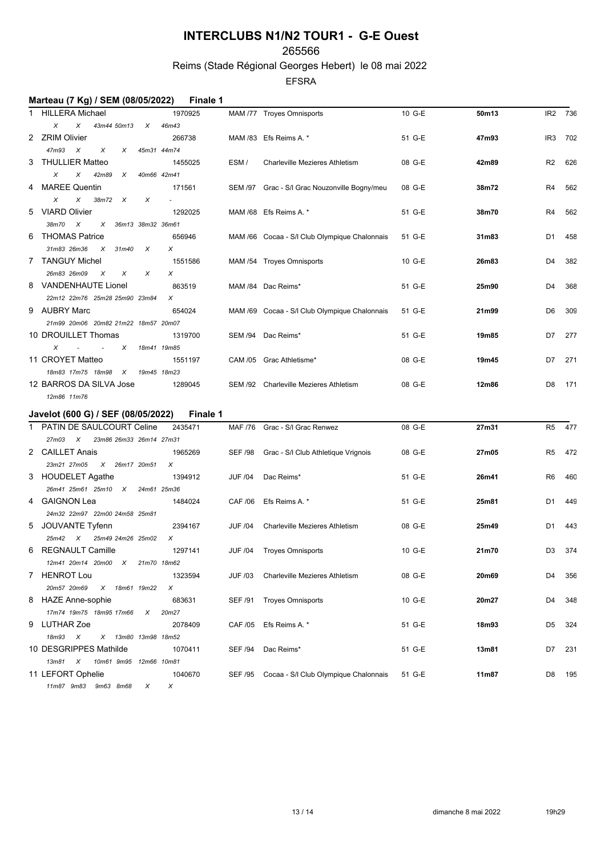### 265566

## Reims (Stade Régional Georges Hebert) le 08 mai 2022

EFSRA

|   | Marteau (7 Kg) / SEM (08/05/2022)                | <b>Finale 1</b>           |                |                                               |        |       |                |         |
|---|--------------------------------------------------|---------------------------|----------------|-----------------------------------------------|--------|-------|----------------|---------|
|   | 1 HILLERA Michael                                | 1970925                   |                | MAM /77 Troyes Omnisports                     | 10 G-E | 50m13 |                | IR2 736 |
|   | X<br>X<br>43m44 50m13<br>X                       | 46m43                     |                |                                               |        |       |                |         |
|   | 2 ZRIM Olivier                                   | 266738                    |                | MAM /83 Efs Reims A. *                        | 51 G-E | 47m93 | IR3            | 702     |
|   | 47m93<br>$\boldsymbol{\mathsf{x}}$<br>X<br>Χ     | 45m31 44m74               |                |                                               |        |       |                |         |
|   | 3 THULLIER Matteo                                | 1455025                   | ESM/           | <b>Charleville Mezieres Athletism</b>         | 08 G-E | 42m89 | R2             | 626     |
|   | X<br>42m89<br>X<br>X                             | 40m66 42m41               |                |                                               |        |       |                |         |
|   | <b>MAREE Quentin</b>                             | 171561                    |                | SEM /97 Grac - S/I Grac Nouzonville Bogny/meu | 08 G-E | 38m72 | R4             | 562     |
|   | X<br>X<br>38m72<br>$\times$<br>X                 |                           |                |                                               |        |       |                |         |
|   | 5 VIARD Olivier                                  | 1292025                   |                | MAM /68 Efs Reims A. *                        | 51 G-E | 38m70 | R4             | 562     |
|   | $\boldsymbol{X}$<br>X 36m13 38m32 36m61<br>38m70 |                           |                |                                               |        |       |                |         |
| 6 | <b>THOMAS Patrice</b>                            | 656946                    |                | MAM /66 Cocaa - S/I Club Olympique Chalonnais | 51 G-E | 31m83 | D1             | 458     |
|   | $X$ 31 $m40$<br>X<br>31m83 26m36                 | X                         |                |                                               |        |       |                |         |
|   | 7 TANGUY Michel                                  | 1551586                   |                | MAM /54 Troyes Omnisports                     | 10 G-E | 26m83 | D4             | 382     |
|   | 26m83 26m09<br>$\times$<br>Χ<br>X                | Χ                         |                |                                               |        |       |                |         |
| 8 | VANDENHAUTE Lionel                               | 863519                    |                | MAM /84 Dac Reims*                            | 51 G-E | 25m90 | D4             | 368     |
|   | 22m12 22m76 25m28 25m90 23m84                    | X                         |                |                                               |        |       |                |         |
| 9 | AUBRY Marc                                       | 654024                    |                | MAM /69 Cocaa - S/I Club Olympique Chalonnais | 51 G-E | 21m99 | D6             | 309     |
|   | 21m99 20m06 20m82 21m22 18m57 20m07              |                           |                |                                               |        |       |                |         |
|   | 10 DROUILLET Thomas                              | 1319700                   |                | SEM /94 Dac Reims*                            | 51 G-E | 19m85 | D7             | 277     |
|   | X<br>$\blacksquare$<br>$\sim$<br>X               | 18m41 19m85               |                |                                               |        |       |                |         |
|   | 11 CROYET Matteo                                 | 1551197                   |                | CAM /05 Grac Athletisme*                      | 08 G-E | 19m45 | D7             | 271     |
|   | 18m83 17m75 18m98 X                              | 19m45 18m23               |                |                                               |        |       |                |         |
|   | 12 BARROS DA SILVA Jose                          | 1289045                   |                | SEM /92 Charleville Mezieres Athletism        | 08 G-E | 12m86 | D <sub>8</sub> | 171     |
|   | 12m86 11m76                                      |                           |                |                                               |        |       |                |         |
|   | Javelot (600 G) / SEF (08/05/2022)               | <b>Finale 1</b>           |                |                                               |        |       |                |         |
|   | 1 PATIN DE SAULCOURT Celine                      | 2435471                   |                | MAF /76 Grac - S/I Grac Renwez                | 08 G-E | 27m31 | R5             | 477     |
|   | 27m03 X<br>23m86 26m33 26m14 27m31               |                           |                |                                               |        |       |                |         |
|   | 2 CAILLET Anais                                  | 1965269                   | SEF /98        |                                               | 08 G-E | 27m05 | R5             | 472     |
|   | 23m21 27m05<br>X 26m17 20m51                     | X                         |                | Grac - S/I Club Athletique Vrignois           |        |       |                |         |
|   | 3 HOUDELET Agathe                                | 1394912                   | <b>JUF /04</b> | Dac Reims*                                    | 51 G-E | 26m41 | R6             | 460     |
|   | 26m41 25m61 25m10 X                              | 24m61 25m36               |                |                                               |        |       |                |         |
|   | 4 GAIGNON Lea                                    | 1484024                   |                | CAF /06 Efs Reims A. *                        | 51 G-E | 25m81 | D1             | 449     |
|   | 24m32 22m97 22m00 24m58 25m81                    |                           |                |                                               |        |       |                |         |
|   | 5 JOUVANTE Tyfenn                                | 2394167                   | <b>JUF /04</b> | Charleville Mezieres Athletism                | 08 G-E | 25m49 | D1             | 443     |
|   | 25m42 X<br>25m49 24m26 25m02                     | X                         |                |                                               |        |       |                |         |
|   | 6 REGNAULT Camille                               | 1297141                   |                |                                               | 10 G-E |       | D3             |         |
|   |                                                  |                           |                | JUF /04 Troyes Omnisports                     |        | 21m70 |                | 374     |
|   | 12m41 20m14 20m00 X 21m70 18m62<br>7 HENROT Lou  |                           |                |                                               | 08 G-E | 20m69 | D4             | 356     |
|   | 20m57 20m69<br>X 18m61 19m22                     | 1323594                   |                | JUF /03 Charleville Mezieres Athletism        |        |       |                |         |
|   |                                                  | $\boldsymbol{\mathsf{X}}$ |                |                                               |        |       |                |         |
|   | 8 HAZE Anne-sophie<br>17m74 19m75 18m95 17m66    | 683631                    |                | SEF /91 Troyes Omnisports                     | 10 G-E | 20m27 | D4             | 348     |
|   | $\boldsymbol{X}$                                 | 20m27                     |                |                                               |        |       |                |         |
|   | 9 LUTHAR Zoe                                     | 2078409                   |                | CAF /05 Efs Reims A. *                        | 51 G-E | 18m93 | D5             | 324     |
|   | 18m93 X<br>X 13m80 13m98 18m52                   |                           |                |                                               |        |       |                |         |
|   | 10 DESGRIPPES Mathilde                           | 1070411                   |                | SEF /94 Dac Reims*                            | 51 G-E | 13m81 | D7             | 231     |
|   | 13m81 X<br>10m61 9m95 12m66 10m81                |                           |                |                                               |        |       |                |         |
|   | 11 LEFORT Ophelie                                | 1040670                   |                | SEF /95 Cocaa - S/I Club Olympique Chalonnais | 51 G-E | 11m87 | D8             | 195     |

*11m87 9m83 9m63 8m68 X X*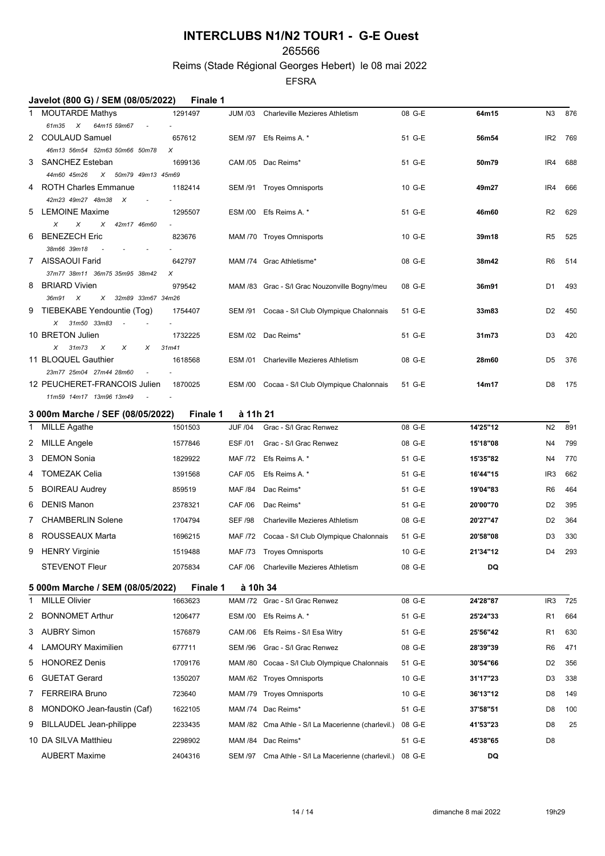### 265566

Reims (Stade Régional Georges Hebert) le 08 mai 2022

|   | Javelot (800 G) / SEM (08/05/2022)                      | <b>Finale 1</b>     |                            |                                                    |        |          |                 |     |
|---|---------------------------------------------------------|---------------------|----------------------------|----------------------------------------------------|--------|----------|-----------------|-----|
|   | 1 MOUTARDE Mathys                                       | 1291497             |                            | JUM /03 Charleville Mezieres Athletism             | 08 G-E | 64m15    | N3              | 876 |
|   | 61m35 X<br>64m15 59m67                                  |                     |                            |                                                    |        |          |                 |     |
|   | 2 COULAUD Samuel                                        | 657612              |                            | SEM /97 Efs Reims A. *                             | 51 G-E | 56m54    | IR <sub>2</sub> | 769 |
|   | 46m13 56m54 52m63 50m66 50m78                           | X                   |                            |                                                    |        |          |                 |     |
| 3 | SANCHEZ Esteban<br>44m60 45m26<br>X 50m79 49m13 45m69   | 1699136             |                            | CAM /05 Dac Reims*                                 | 51 G-E | 50m79    | IR4             | 688 |
| 4 | ROTH Charles Emmanue                                    | 1182414             |                            | SEM /91 Troyes Omnisports                          | 10 G-E | 49m27    | IR4             | 666 |
|   | 42m23 49m27 48m38 X                                     |                     |                            |                                                    |        |          |                 |     |
| 5 | <b>LEMOINE Maxime</b>                                   | 1295507             |                            | ESM /00 Efs Reims A. *                             | 51 G-E | 46m60    | R <sub>2</sub>  | 629 |
|   | X<br>X 42m17 46m60<br>x                                 |                     |                            |                                                    |        |          |                 |     |
| 6 | <b>BENEZECH Eric</b>                                    | 823676              |                            | MAM /70 Troyes Omnisports                          | 10 G-E | 39m18    | R5              | 525 |
|   | 38m66 39m18                                             |                     |                            |                                                    |        |          |                 |     |
|   | 7 AISSAOUI Farid                                        | 642797              |                            | MAM /74 Grac Athletisme*                           | 08 G-E | 38m42    | R6              | 514 |
| 8 | 37m77 38m11 36m75 35m95 38m42<br><b>BRIARD Vivien</b>   | X<br>979542         |                            | MAM /83 Grac - S/I Grac Nouzonville Bogny/meu      | 08 G-E | 36m91    | D1              | 493 |
|   | 36m91 X<br>X 32m89 33m67 34m26                          |                     |                            |                                                    |        |          |                 |     |
| 9 | TIEBEKABE Yendountie (Tog)                              | 1754407             |                            | SEM /91 Cocaa - S/l Club Olympique Chalonnais      | 51 G-E | 33m83    | D <sub>2</sub>  | 450 |
|   | X 31m50 33m83<br>$\overline{\phantom{a}}$               |                     |                            |                                                    |        |          |                 |     |
|   | 10 BRETON Julien                                        | 1732225             |                            | ESM /02 Dac Reims*                                 | 51 G-E | 31m73    | D <sub>3</sub>  | 420 |
|   | $X$ 31m73<br>$\boldsymbol{\mathsf{x}}$<br>X<br>X        | 31m41               |                            |                                                    |        |          |                 |     |
|   | 11 BLOQUEL Gauthier                                     | 1618568             | ESM /01                    | Charleville Mezieres Athletism                     | 08 G-E | 28m60    | D5              | 376 |
|   | 23m77 25m04 27m44 28m60<br>12 PEUCHERET-FRANCOIS Julien | 1870025             |                            |                                                    | 51 G-E |          |                 |     |
|   | 11m59 14m17 13m96 13m49                                 |                     |                            | ESM /00 Cocaa - S/I Club Olympique Chalonnais      |        | 14m17    | D8              | 175 |
|   |                                                         |                     |                            |                                                    |        |          |                 |     |
|   | 3 000m Marche / SEF (08/05/2022)<br>1 MILLE Agathe      | Finale 1<br>1501503 | à 11h 21<br><b>JUF /04</b> | Grac - S/I Grac Renwez                             | 08 G-E | 14'25"12 | N <sub>2</sub>  | 891 |
|   |                                                         |                     |                            |                                                    |        |          |                 |     |
|   | 2 MILLE Angele                                          | 1577846             | ESF /01                    | Grac - S/I Grac Renwez                             | 08 G-E | 15'18"08 | N4              | 799 |
| 3 | <b>DEMON Sonia</b>                                      | 1829922             |                            | MAF /72 Efs Reims A. *                             | 51 G-E | 15'35"82 | N4              | 770 |
| 4 | TOMEZAK Celia                                           | 1391568             | CAF /05                    | Efs Reims A. *                                     | 51 G-E | 16'44"15 | IR <sub>3</sub> | 662 |
| 5 | <b>BOIREAU Audrey</b>                                   | 859519              | MAF /84                    | Dac Reims*                                         | 51 G-E | 19'04"83 | R6              | 464 |
| 6 | DENIS Manon                                             | 2378321             | CAF /06                    | Dac Reims*                                         | 51 G-E | 20'00"70 | D <sub>2</sub>  | 395 |
| 7 | <b>CHAMBERLIN Solene</b>                                | 1704794             | <b>SEF /98</b>             | Charleville Mezieres Athletism                     | 08 G-E | 20'27"47 | D <sub>2</sub>  | 364 |
|   | 8 ROUSSEAUX Marta                                       | 1696215             |                            | MAF /72 Cocaa - S/I Club Olympique Chalonnais      | 51 G-E | 20'58"08 | D3              | 330 |
|   | 9 HENRY Virginie                                        | 1519488             | <b>MAF /73</b>             | <b>Troyes Omnisports</b>                           | 10 G-E | 21'34"12 | D4              | 293 |
|   | <b>STEVENOT Fleur</b>                                   | 2075834             | CAF /06                    | Charleville Mezieres Athletism                     | 08 G-E | DQ       |                 |     |
|   |                                                         |                     |                            |                                                    |        |          |                 |     |
|   | 5 000m Marche / SEM (08/05/2022)                        | Finale 1            | à 10h 34                   |                                                    |        |          |                 |     |
| 1 | <b>MILLE Olivier</b>                                    | 1663623             |                            | MAM /72 Grac - S/I Grac Renwez                     | 08 G-E | 24'28"87 | IR <sub>3</sub> | 725 |
| 2 | <b>BONNOMET Arthur</b>                                  | 1206477             | ESM /00                    | Efs Reims A. *                                     | 51 G-E | 25'24"33 | R1              | 664 |
| 3 | <b>AUBRY Simon</b>                                      | 1576879             |                            | CAM /06 Efs Reims - S/I Esa Witry                  | 51 G-E | 25'56"42 | R1              | 630 |
| 4 | <b>LAMOURY Maximilien</b>                               | 677711              |                            | SEM /96 Grac - S/I Grac Renwez                     | 08 G-E | 28'39"39 | R6              | 471 |
| 5 | <b>HONOREZ Denis</b>                                    | 1709176             |                            | MAM /80 Cocaa - S/l Club Olympique Chalonnais      | 51 G-E | 30'54"66 | D <sub>2</sub>  | 356 |
| 6 | <b>GUETAT Gerard</b>                                    | 1350207             |                            | MAM /62 Troyes Omnisports                          | 10 G-E | 31'17"23 | D3              | 338 |
| 7 | <b>FERREIRA Bruno</b>                                   | 723640              |                            | MAM /79 Troyes Omnisports                          | 10 G-E | 36'13"12 | D8              | 149 |
| 8 | MONDOKO Jean-faustin (Caf)                              | 1622105             |                            | MAM /74 Dac Reims*                                 | 51 G-E | 37'58"51 | D8              | 100 |
| 9 | BILLAUDEL Jean-philippe                                 |                     |                            | MAM /82 Cma Athle - S/I La Macerienne (charlevil.) | 08 G-E |          | D8              | 25  |
|   |                                                         | 2233435             |                            |                                                    |        | 41'53"23 |                 |     |
|   | 10 DA SILVA Matthieu                                    | 2298902             |                            | MAM /84 Dac Reims*                                 | 51 G-E | 45'38"65 | D8              |     |
|   | <b>AUBERT Maxime</b>                                    | 2404316             |                            | SEM /97 Cma Athle - S/I La Macerienne (charlevil.) | 08 G-E | DQ       |                 |     |